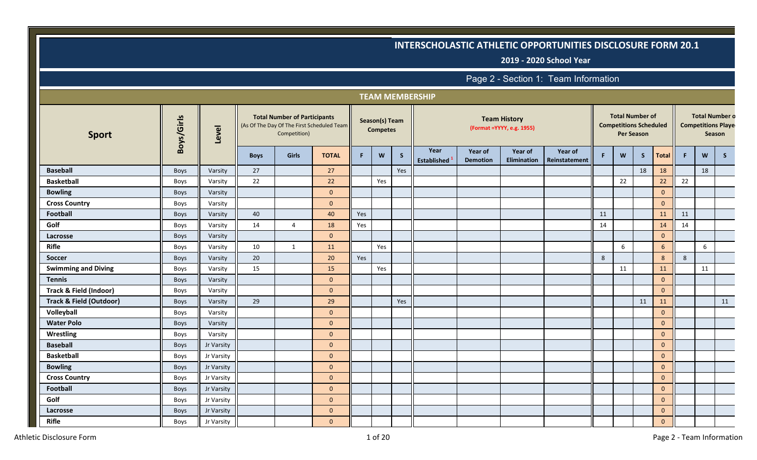**2019 - 2020 School Year**

|                                    |             |            |             |                                                                                                   |              |            |                                   |              | <b>TEAM MEMBERSHIP</b>     |                            |                                                   |                          |    |                                                         |                   |                |    |        |                                                    |
|------------------------------------|-------------|------------|-------------|---------------------------------------------------------------------------------------------------|--------------|------------|-----------------------------------|--------------|----------------------------|----------------------------|---------------------------------------------------|--------------------------|----|---------------------------------------------------------|-------------------|----------------|----|--------|----------------------------------------------------|
| <b>Sport</b>                       | Boys/Girls  | Level      |             | <b>Total Number of Participants</b><br>(As Of The Day Of The First Scheduled Team<br>Competition) |              |            | Season(s) Team<br><b>Competes</b> |              |                            |                            | <b>Team History</b><br>(Format = YYYY, e.g. 1955) |                          |    | <b>Total Number of</b><br><b>Competitions Scheduled</b> | <b>Per Season</b> |                |    | Season | <b>Total Number o</b><br><b>Competitions Playe</b> |
|                                    |             |            | <b>Boys</b> | <b>Girls</b>                                                                                      | <b>TOTAL</b> | F.         | W                                 | $\mathsf{S}$ | Year<br><b>Established</b> | Year of<br><b>Demotion</b> | Year of<br>Elimination                            | Year of<br>Reinstatement | F  | W                                                       | S                 | <b>Total</b>   | F. | W      | S                                                  |
| <b>Baseball</b>                    | Boys        | Varsity    | 27          |                                                                                                   | 27           |            |                                   | Yes          |                            |                            |                                                   |                          |    |                                                         | 18                | 18             |    | 18     |                                                    |
| <b>Basketball</b>                  | Boys        | Varsity    | 22          |                                                                                                   | 22           |            | Yes                               |              |                            |                            |                                                   |                          |    | 22                                                      |                   | 22             | 22 |        |                                                    |
| <b>Bowling</b>                     | Boys        | Varsity    |             |                                                                                                   | $\mathbf{0}$ |            |                                   |              |                            |                            |                                                   |                          |    |                                                         |                   | $\mathbf{0}$   |    |        |                                                    |
| <b>Cross Country</b>               | <b>Boys</b> | Varsity    |             |                                                                                                   | $\mathbf{0}$ |            |                                   |              |                            |                            |                                                   |                          |    |                                                         |                   | $\mathbf{0}$   |    |        |                                                    |
| <b>Football</b>                    | Boys        | Varsity    | 40          |                                                                                                   | 40           | <b>Yes</b> |                                   |              |                            |                            |                                                   |                          | 11 |                                                         |                   | 11             | 11 |        |                                                    |
| Golf                               | Boys        | Varsity    | 14          | $\overline{4}$                                                                                    | 18           | Yes        |                                   |              |                            |                            |                                                   |                          | 14 |                                                         |                   | 14             | 14 |        |                                                    |
| Lacrosse                           | Boys        | Varsity    |             |                                                                                                   | $\mathbf{0}$ |            |                                   |              |                            |                            |                                                   |                          |    |                                                         |                   | $\mathbf{0}$   |    |        |                                                    |
| <b>Rifle</b>                       | Boys        | Varsity    | 10          | $\mathbf{1}$                                                                                      | 11           |            | Yes                               |              |                            |                            |                                                   |                          |    | 6                                                       |                   | 6              |    | 6      |                                                    |
| <b>Soccer</b>                      | <b>Boys</b> | Varsity    | 20          |                                                                                                   | 20           | Yes        |                                   |              |                            |                            |                                                   |                          | 8  |                                                         |                   | 8              | 8  |        |                                                    |
| <b>Swimming and Diving</b>         | Boys        | Varsity    | 15          |                                                                                                   | 15           |            | Yes                               |              |                            |                            |                                                   |                          |    | 11                                                      |                   | 11             |    | 11     |                                                    |
| <b>Tennis</b>                      | Boys        | Varsity    |             |                                                                                                   | $\mathbf{0}$ |            |                                   |              |                            |                            |                                                   |                          |    |                                                         |                   | $\mathbf{0}$   |    |        |                                                    |
| Track & Field (Indoor)             | Boys        | Varsity    |             |                                                                                                   | $\mathbf{0}$ |            |                                   |              |                            |                            |                                                   |                          |    |                                                         |                   | $\mathbf{0}$   |    |        |                                                    |
| <b>Track &amp; Field (Outdoor)</b> | Boys        | Varsity    | 29          |                                                                                                   | 29           |            |                                   | Yes          |                            |                            |                                                   |                          |    |                                                         | 11                | 11             |    |        | 11                                                 |
| Volleyball                         | Boys        | Varsity    |             |                                                                                                   | $\mathbf{0}$ |            |                                   |              |                            |                            |                                                   |                          |    |                                                         |                   | $\mathbf{0}$   |    |        |                                                    |
| <b>Water Polo</b>                  | <b>Boys</b> | Varsity    |             |                                                                                                   | $\mathbf{0}$ |            |                                   |              |                            |                            |                                                   |                          |    |                                                         |                   | $\overline{0}$ |    |        |                                                    |
| Wrestling                          | Boys        | Varsity    |             |                                                                                                   | $\mathbf{0}$ |            |                                   |              |                            |                            |                                                   |                          |    |                                                         |                   | $\mathbf{0}$   |    |        |                                                    |
| <b>Baseball</b>                    | Boys        | Jr Varsity |             |                                                                                                   | $\mathbf{0}$ |            |                                   |              |                            |                            |                                                   |                          |    |                                                         |                   | $\mathbf{0}$   |    |        |                                                    |
| <b>Basketball</b>                  | Boys        | Jr Varsity |             |                                                                                                   | $\Omega$     |            |                                   |              |                            |                            |                                                   |                          |    |                                                         |                   | $\mathbf{0}$   |    |        |                                                    |
| <b>Bowling</b>                     | Boys        | Jr Varsity |             |                                                                                                   | $\mathbf{0}$ |            |                                   |              |                            |                            |                                                   |                          |    |                                                         |                   | $\mathbf{0}$   |    |        |                                                    |
| <b>Cross Country</b>               | Boys        | Jr Varsity |             |                                                                                                   | $\mathbf{0}$ |            |                                   |              |                            |                            |                                                   |                          |    |                                                         |                   | $\mathbf{0}$   |    |        |                                                    |
| <b>Football</b>                    | Boys        | Jr Varsity |             |                                                                                                   | $\mathbf{0}$ |            |                                   |              |                            |                            |                                                   |                          |    |                                                         |                   | $\mathbf{0}$   |    |        |                                                    |
| Golf                               | Boys        | Jr Varsity |             |                                                                                                   | $\mathbf{0}$ |            |                                   |              |                            |                            |                                                   |                          |    |                                                         |                   | $\mathbf{0}$   |    |        |                                                    |
| Lacrosse                           | Boys        | Jr Varsity |             |                                                                                                   | $\mathbf{0}$ |            |                                   |              |                            |                            |                                                   |                          |    |                                                         |                   | $\mathbf{0}$   |    |        |                                                    |
| <b>Rifle</b>                       | Boys        | Jr Varsity |             |                                                                                                   | $\mathbf{0}$ |            |                                   |              |                            |                            |                                                   |                          |    |                                                         |                   | $\mathbf{0}$   |    |        |                                                    |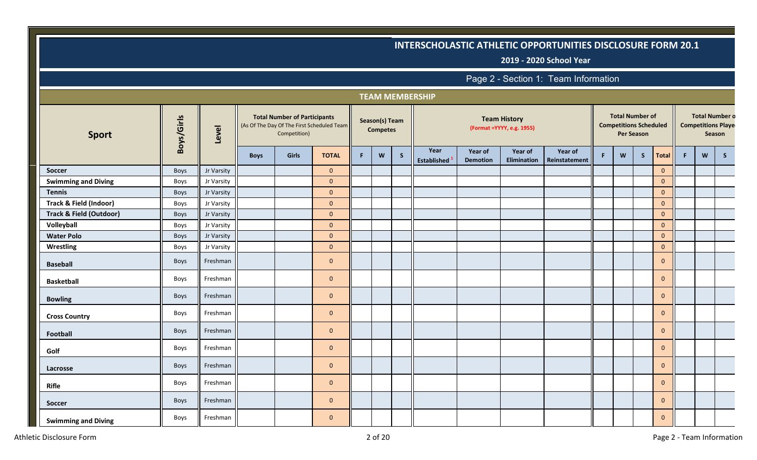**2019 - 2020 School Year**

|                                    |            |            |             |                                                                                                   |                |    |                                   |              | <b>TEAM MEMBERSHIP</b>     |                            |                                                   |                          |    |                                                                              |   |              |    |   |                                                              |
|------------------------------------|------------|------------|-------------|---------------------------------------------------------------------------------------------------|----------------|----|-----------------------------------|--------------|----------------------------|----------------------------|---------------------------------------------------|--------------------------|----|------------------------------------------------------------------------------|---|--------------|----|---|--------------------------------------------------------------|
| <b>Sport</b>                       | Boys/Girls | Level      |             | <b>Total Number of Participants</b><br>(As Of The Day Of The First Scheduled Team<br>Competition) |                |    | Season(s) Team<br><b>Competes</b> |              |                            |                            | <b>Team History</b><br>(Format = YYYY, e.g. 1955) |                          |    | <b>Total Number of</b><br><b>Competitions Scheduled</b><br><b>Per Season</b> |   |              |    |   | <b>Total Number o</b><br><b>Competitions Playe</b><br>Season |
|                                    |            |            | <b>Boys</b> | Girls                                                                                             | <b>TOTAL</b>   | F. | W                                 | $\mathsf{S}$ | Year<br><b>Established</b> | Year of<br><b>Demotion</b> | Year of<br>Elimination                            | Year of<br>Reinstatement | F. | W                                                                            | S | <b>Total</b> | F. | W | $\mathsf{S}$                                                 |
| <b>Soccer</b>                      | Boys       | Jr Varsity |             |                                                                                                   | $\mathbf 0$    |    |                                   |              |                            |                            |                                                   |                          |    |                                                                              |   | $\mathbf{0}$ |    |   |                                                              |
| <b>Swimming and Diving</b>         | Boys       | Jr Varsity |             |                                                                                                   | $\mathbf{0}$   |    |                                   |              |                            |                            |                                                   |                          |    |                                                                              |   | $\mathbf 0$  |    |   |                                                              |
| <b>Tennis</b>                      | Boys       | Jr Varsity |             |                                                                                                   | $\mathbf{0}$   |    |                                   |              |                            |                            |                                                   |                          |    |                                                                              |   | $\mathbf{0}$ |    |   |                                                              |
| Track & Field (Indoor)             | Boys       | Jr Varsity |             |                                                                                                   | $\mathbf{0}$   |    |                                   |              |                            |                            |                                                   |                          |    |                                                                              |   | $\mathbf 0$  |    |   |                                                              |
| <b>Track &amp; Field (Outdoor)</b> | Boys       | Jr Varsity |             |                                                                                                   | $\mathbf{0}$   |    |                                   |              |                            |                            |                                                   |                          |    |                                                                              |   | $\mathbf 0$  |    |   |                                                              |
| Volleyball                         | Boys       | Jr Varsity |             |                                                                                                   | $\mathbf{0}$   |    |                                   |              |                            |                            |                                                   |                          |    |                                                                              |   | $\mathbf{0}$ |    |   |                                                              |
| <b>Water Polo</b>                  | Boys       | Jr Varsity |             |                                                                                                   | $\mathbf{0}$   |    |                                   |              |                            |                            |                                                   |                          |    |                                                                              |   | $\mathbf 0$  |    |   |                                                              |
| Wrestling                          | Boys       | Jr Varsity |             |                                                                                                   | $\mathbf{0}$   |    |                                   |              |                            |                            |                                                   |                          |    |                                                                              |   | $\mathbf{0}$ |    |   |                                                              |
| <b>Baseball</b>                    | Boys       | Freshman   |             |                                                                                                   | $\mathbf{0}$   |    |                                   |              |                            |                            |                                                   |                          |    |                                                                              |   | $\mathbf{0}$ |    |   |                                                              |
| <b>Basketball</b>                  | Boys       | Freshman   |             |                                                                                                   | $\mathbf{0}$   |    |                                   |              |                            |                            |                                                   |                          |    |                                                                              |   | $\mathbf{0}$ |    |   |                                                              |
| <b>Bowling</b>                     | Boys       | Freshman   |             |                                                                                                   | $\mathbf{0}$   |    |                                   |              |                            |                            |                                                   |                          |    |                                                                              |   | $\mathbf{0}$ |    |   |                                                              |
| <b>Cross Country</b>               | Boys       | Freshman   |             |                                                                                                   | $\overline{0}$ |    |                                   |              |                            |                            |                                                   |                          |    |                                                                              |   | $\mathbf{0}$ |    |   |                                                              |
| Football                           | Boys       | Freshman   |             |                                                                                                   | $\overline{0}$ |    |                                   |              |                            |                            |                                                   |                          |    |                                                                              |   | $\mathbf{0}$ |    |   |                                                              |
| Golf                               | Boys       | Freshman   |             |                                                                                                   | $\overline{0}$ |    |                                   |              |                            |                            |                                                   |                          |    |                                                                              |   | $\mathbf{0}$ |    |   |                                                              |
| Lacrosse                           | Boys       | Freshman   |             |                                                                                                   | $\mathbf{0}$   |    |                                   |              |                            |                            |                                                   |                          |    |                                                                              |   | $\mathbf 0$  |    |   |                                                              |
| Rifle                              | Boys       | Freshman   |             |                                                                                                   | $\mathbf{0}$   |    |                                   |              |                            |                            |                                                   |                          |    |                                                                              |   | $\mathbf{0}$ |    |   |                                                              |
| Soccer                             | Boys       | Freshman   |             |                                                                                                   | $\mathbf{0}$   |    |                                   |              |                            |                            |                                                   |                          |    |                                                                              |   | $\mathbf{0}$ |    |   |                                                              |
| <b>Swimming and Diving</b>         | Boys       | Freshman   |             |                                                                                                   | $\mathbf{0}$   |    |                                   |              |                            |                            |                                                   |                          |    |                                                                              |   | $\mathbf{0}$ |    |   |                                                              |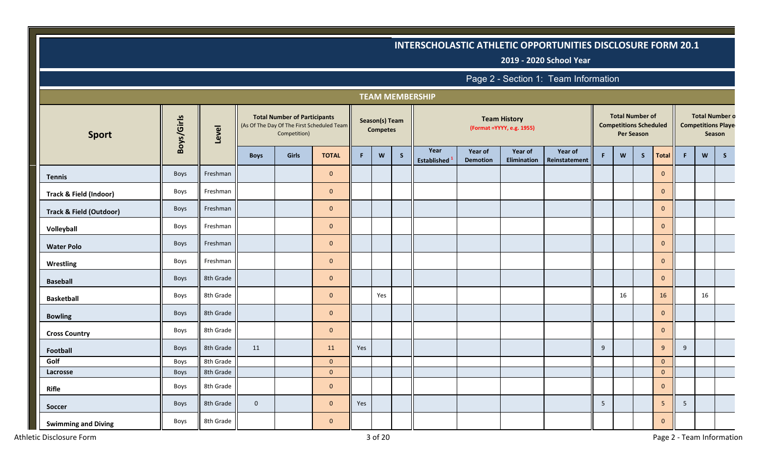**2019 - 2020 School Year**

|                                    |            |           |             |                                                     |                                            |     |                                   |   | <b>TEAM MEMBERSHIP</b>     |                            |                                                   |                          |             |                                                         |                   |              |                |        |                                                    |
|------------------------------------|------------|-----------|-------------|-----------------------------------------------------|--------------------------------------------|-----|-----------------------------------|---|----------------------------|----------------------------|---------------------------------------------------|--------------------------|-------------|---------------------------------------------------------|-------------------|--------------|----------------|--------|----------------------------------------------------|
| <b>Sport</b>                       | Boys/Girls | Level     |             | <b>Total Number of Participants</b><br>Competition) | (As Of The Day Of The First Scheduled Team |     | Season(s) Team<br><b>Competes</b> |   |                            |                            | <b>Team History</b><br>(Format = YYYY, e.g. 1955) |                          |             | <b>Total Number of</b><br><b>Competitions Scheduled</b> | <b>Per Season</b> |              |                | Season | <b>Total Number o</b><br><b>Competitions Playe</b> |
|                                    |            |           | <b>Boys</b> | Girls                                               | <b>TOTAL</b>                               | F   | W                                 | S | Year<br><b>Established</b> | Year of<br><b>Demotion</b> | Year of<br><b>Elimination</b>                     | Year of<br>Reinstatement | $\mathsf F$ | W                                                       | S                 | Total        | $\mathsf F$ .  | W      | S                                                  |
| <b>Tennis</b>                      | Boys       | Freshman  |             |                                                     | $\overline{0}$                             |     |                                   |   |                            |                            |                                                   |                          |             |                                                         |                   | $\mathbf{0}$ |                |        |                                                    |
| <b>Track &amp; Field (Indoor)</b>  | Boys       | Freshman  |             |                                                     | $\overline{0}$                             |     |                                   |   |                            |                            |                                                   |                          |             |                                                         |                   | $\mathbf{0}$ |                |        |                                                    |
| <b>Track &amp; Field (Outdoor)</b> | Boys       | Freshman  |             |                                                     | $\overline{0}$                             |     |                                   |   |                            |                            |                                                   |                          |             |                                                         |                   | $\mathbf{0}$ |                |        |                                                    |
| Volleyball                         | Boys       | Freshman  |             |                                                     | $\mathbf{0}$                               |     |                                   |   |                            |                            |                                                   |                          |             |                                                         |                   | $\mathbf 0$  |                |        |                                                    |
| <b>Water Polo</b>                  | Boys       | Freshman  |             |                                                     | $\overline{0}$                             |     |                                   |   |                            |                            |                                                   |                          |             |                                                         |                   | $\mathbf{0}$ |                |        |                                                    |
| <b>Wrestling</b>                   | Boys       | Freshman  |             |                                                     | $\mathbf 0$                                |     |                                   |   |                            |                            |                                                   |                          |             |                                                         |                   | $\mathbf 0$  |                |        |                                                    |
| <b>Baseball</b>                    | Boys       | 8th Grade |             |                                                     | $\mathbf{0}$                               |     |                                   |   |                            |                            |                                                   |                          |             |                                                         |                   | $\mathbf{0}$ |                |        |                                                    |
| <b>Basketball</b>                  | Boys       | 8th Grade |             |                                                     | $\mathbf{0}$                               |     | Yes                               |   |                            |                            |                                                   |                          |             | 16                                                      |                   | 16           |                | 16     |                                                    |
| <b>Bowling</b>                     | Boys       | 8th Grade |             |                                                     | $\overline{0}$                             |     |                                   |   |                            |                            |                                                   |                          |             |                                                         |                   | $\mathbf{0}$ |                |        |                                                    |
| <b>Cross Country</b>               | Boys       | 8th Grade |             |                                                     | $\overline{0}$                             |     |                                   |   |                            |                            |                                                   |                          |             |                                                         |                   | $\mathbf{0}$ |                |        |                                                    |
| <b>Football</b>                    | Boys       | 8th Grade | 11          |                                                     | 11                                         | Yes |                                   |   |                            |                            |                                                   |                          | 9           |                                                         |                   | 9            | 9              |        |                                                    |
| Golf                               | Boys       | 8th Grade |             |                                                     | $\mathbf 0$                                |     |                                   |   |                            |                            |                                                   |                          |             |                                                         |                   | $\mathbf{0}$ |                |        |                                                    |
| Lacrosse                           | Boys       | 8th Grade |             |                                                     | $\mathbf{0}$                               |     |                                   |   |                            |                            |                                                   |                          |             |                                                         |                   | $\mathbf{0}$ |                |        |                                                    |
| <b>Rifle</b>                       | Boys       | 8th Grade |             |                                                     | $\mathbf{0}$                               |     |                                   |   |                            |                            |                                                   |                          |             |                                                         |                   | $\mathbf{0}$ |                |        |                                                    |
| <b>Soccer</b>                      | Boys       | 8th Grade | $\mathbf 0$ |                                                     | $\mathbf{0}$                               | Yes |                                   |   |                            |                            |                                                   |                          | 5           |                                                         |                   | 5            | 5 <sup>1</sup> |        |                                                    |
| <b>Swimming and Diving</b>         | Boys       | 8th Grade |             |                                                     | $\mathbf{0}$                               |     |                                   |   |                            |                            |                                                   |                          |             |                                                         |                   | $\mathbf{0}$ |                |        |                                                    |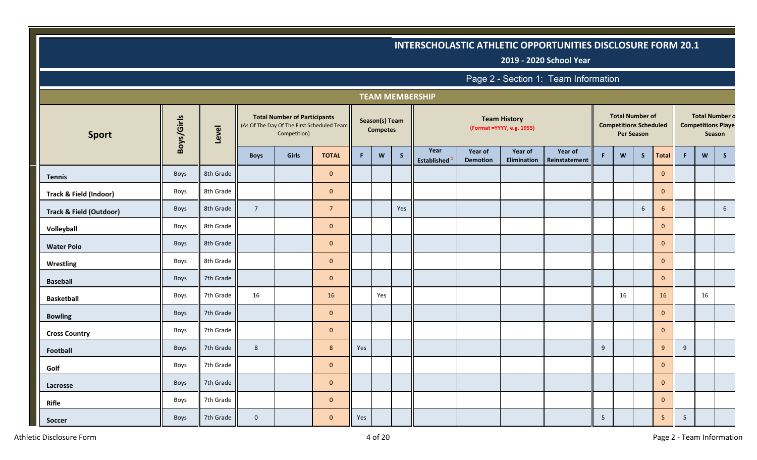**2019 - 2020 School Year**

|                                    |            |           |                |                                                     |                                            |     |                                   |     | <b>TEAM MEMBERSHIP</b>     |                            |                                                   |                          |                |                                                         |                   |                |    |    |                                                              |
|------------------------------------|------------|-----------|----------------|-----------------------------------------------------|--------------------------------------------|-----|-----------------------------------|-----|----------------------------|----------------------------|---------------------------------------------------|--------------------------|----------------|---------------------------------------------------------|-------------------|----------------|----|----|--------------------------------------------------------------|
| <b>Sport</b>                       | Boys/Girls | Level     |                | <b>Total Number of Participants</b><br>Competition) | (As Of The Day Of The First Scheduled Team |     | Season(s) Team<br><b>Competes</b> |     |                            |                            | <b>Team History</b><br>(Format = YYYY, e.g. 1955) |                          |                | <b>Total Number of</b><br><b>Competitions Scheduled</b> | <b>Per Season</b> |                |    |    | <b>Total Number o</b><br><b>Competitions Playe</b><br>Season |
|                                    |            |           | <b>Boys</b>    | <b>Girls</b>                                        | <b>TOTAL</b>                               | F.  | W                                 | S   | Year<br><b>Established</b> | Year of<br><b>Demotion</b> | Year of<br>Elimination                            | Year of<br>Reinstatement | F.             | W                                                       | S                 | <b>Total</b>   | F. | W  | $\mathsf{S}$                                                 |
| <b>Tennis</b>                      | Boys       | 8th Grade |                |                                                     | $\mathbf 0$                                |     |                                   |     |                            |                            |                                                   |                          |                |                                                         |                   | $\mathbf{0}$   |    |    |                                                              |
| Track & Field (Indoor)             | Boys       | 8th Grade |                |                                                     | $\mathbf{0}$                               |     |                                   |     |                            |                            |                                                   |                          |                |                                                         |                   | $\mathbf{0}$   |    |    |                                                              |
| <b>Track &amp; Field (Outdoor)</b> | Boys       | 8th Grade | $\overline{7}$ |                                                     | $\overline{7}$                             |     |                                   | Yes |                            |                            |                                                   |                          |                |                                                         | 6                 | 6              |    |    | $6\overline{6}$                                              |
| Volleyball                         | Boys       | 8th Grade |                |                                                     | $\mathbf{0}$                               |     |                                   |     |                            |                            |                                                   |                          |                |                                                         |                   | $\mathbf{0}$   |    |    |                                                              |
| <b>Water Polo</b>                  | Boys       | 8th Grade |                |                                                     | $\mathbf{0}$                               |     |                                   |     |                            |                            |                                                   |                          |                |                                                         |                   | $\overline{0}$ |    |    |                                                              |
| Wrestling                          | Boys       | 8th Grade |                |                                                     | $\mathbf 0$                                |     |                                   |     |                            |                            |                                                   |                          |                |                                                         |                   | $\mathbf{0}$   |    |    |                                                              |
| <b>Baseball</b>                    | Boys       | 7th Grade |                |                                                     | $\mathbf{0}$                               |     |                                   |     |                            |                            |                                                   |                          |                |                                                         |                   | $\mathbf{0}$   |    |    |                                                              |
| <b>Basketball</b>                  | Boys       | 7th Grade | 16             |                                                     | 16                                         |     | Yes                               |     |                            |                            |                                                   |                          |                | 16                                                      |                   | 16             |    | 16 |                                                              |
| <b>Bowling</b>                     | Boys       | 7th Grade |                |                                                     | $\mathbf 0$                                |     |                                   |     |                            |                            |                                                   |                          |                |                                                         |                   | $\mathbf{0}$   |    |    |                                                              |
| <b>Cross Country</b>               | Boys       | 7th Grade |                |                                                     | $\mathbf 0$                                |     |                                   |     |                            |                            |                                                   |                          |                |                                                         |                   | $\mathbf{0}$   |    |    |                                                              |
| Football                           | Boys       | 7th Grade | 8              |                                                     | 8                                          | Yes |                                   |     |                            |                            |                                                   |                          | 9              |                                                         |                   | 9              | 9  |    |                                                              |
| Golf                               | Boys       | 7th Grade |                |                                                     | $\mathbf{0}$                               |     |                                   |     |                            |                            |                                                   |                          |                |                                                         |                   | $\mathbf{0}$   |    |    |                                                              |
| Lacrosse                           | Boys       | 7th Grade |                |                                                     | $\mathbf{0}$                               |     |                                   |     |                            |                            |                                                   |                          |                |                                                         |                   | $\mathbf{0}$   |    |    |                                                              |
| <b>Rifle</b>                       | Boys       | 7th Grade |                |                                                     | $\mathbf{0}$                               |     |                                   |     |                            |                            |                                                   |                          |                |                                                         |                   | $\mathbf{0}$   |    |    |                                                              |
| Soccer                             | Boys       | 7th Grade | $\mathbf 0$    |                                                     | $\mathbf{0}$                               | Yes |                                   |     |                            |                            |                                                   |                          | $\overline{5}$ |                                                         |                   | 5              | 5  |    |                                                              |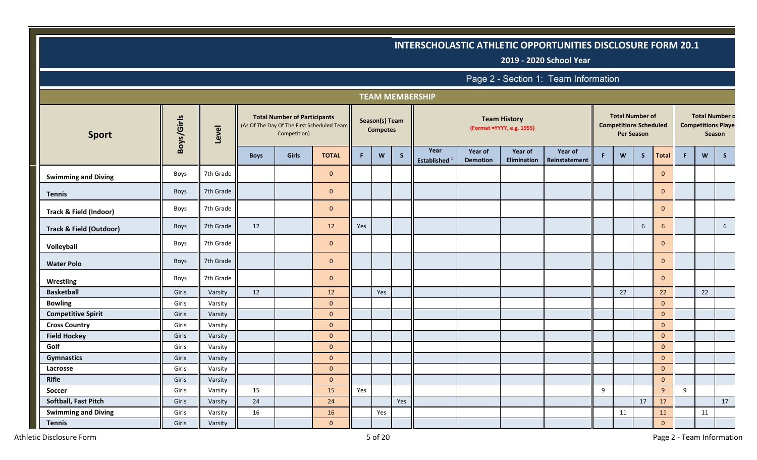**2019 - 2020 School Year**

|                                    |             |           |             |                                                     |                                            |     |                                   |              | <b>TEAM MEMBERSHIP</b>     |                            |                                                   |                          |    |                                                         |                   |              |    |    |                                                              |
|------------------------------------|-------------|-----------|-------------|-----------------------------------------------------|--------------------------------------------|-----|-----------------------------------|--------------|----------------------------|----------------------------|---------------------------------------------------|--------------------------|----|---------------------------------------------------------|-------------------|--------------|----|----|--------------------------------------------------------------|
| <b>Sport</b>                       | Boys/Girls  | Level     |             | <b>Total Number of Participants</b><br>Competition) | (As Of The Day Of The First Scheduled Team |     | Season(s) Team<br><b>Competes</b> |              |                            |                            | <b>Team History</b><br>(Format = YYYY, e.g. 1955) |                          |    | <b>Total Number of</b><br><b>Competitions Scheduled</b> | <b>Per Season</b> |              |    |    | <b>Total Number o</b><br><b>Competitions Playe</b><br>Season |
|                                    |             |           | <b>Boys</b> | Girls                                               | <b>TOTAL</b>                               | F.  | W                                 | $\mathsf{S}$ | Year<br><b>Established</b> | Year of<br><b>Demotion</b> | Year of<br>Elimination                            | Year of<br>Reinstatement | F. | W                                                       | S                 | <b>Total</b> | F. | W  | $\mathsf{S}$                                                 |
| <b>Swimming and Diving</b>         | Boys        | 7th Grade |             |                                                     | $\mathbf{0}$                               |     |                                   |              |                            |                            |                                                   |                          |    |                                                         |                   | $\mathbf{0}$ |    |    |                                                              |
| <b>Tennis</b>                      | Boys        | 7th Grade |             |                                                     | $\mathbf{0}$                               |     |                                   |              |                            |                            |                                                   |                          |    |                                                         |                   | $\mathbf{0}$ |    |    |                                                              |
| Track & Field (Indoor)             | Boys        | 7th Grade |             |                                                     | $\mathbf{0}$                               |     |                                   |              |                            |                            |                                                   |                          |    |                                                         |                   | $\mathbf{0}$ |    |    |                                                              |
| <b>Track &amp; Field (Outdoor)</b> | Boys        | 7th Grade | 12          |                                                     | 12                                         | Yes |                                   |              |                            |                            |                                                   |                          |    |                                                         | 6                 | 6            |    |    | $6\overline{6}$                                              |
| Volleyball                         | Boys        | 7th Grade |             |                                                     | $\mathbf{0}$                               |     |                                   |              |                            |                            |                                                   |                          |    |                                                         |                   | $\mathbf{0}$ |    |    |                                                              |
| <b>Water Polo</b>                  | <b>Boys</b> | 7th Grade |             |                                                     | $\mathbf 0$                                |     |                                   |              |                            |                            |                                                   |                          |    |                                                         |                   | $\mathbf{0}$ |    |    |                                                              |
| <b>Wrestling</b>                   | Boys        | 7th Grade |             |                                                     | $\mathbf{0}$                               |     |                                   |              |                            |                            |                                                   |                          |    |                                                         |                   | $\mathbf{0}$ |    |    |                                                              |
| <b>Basketball</b>                  | Girls       | Varsity   | 12          |                                                     | 12                                         |     | Yes                               |              |                            |                            |                                                   |                          |    | 22                                                      |                   | 22           |    | 22 |                                                              |
| <b>Bowling</b>                     | Girls       | Varsity   |             |                                                     | $\mathbf{0}$                               |     |                                   |              |                            |                            |                                                   |                          |    |                                                         |                   | $\mathbf{0}$ |    |    |                                                              |
| <b>Competitive Spirit</b>          | Girls       | Varsity   |             |                                                     | $\mathbf{0}$                               |     |                                   |              |                            |                            |                                                   |                          |    |                                                         |                   | $\mathbf 0$  |    |    |                                                              |
| <b>Cross Country</b>               | Girls       | Varsity   |             |                                                     | $\mathbf{0}$                               |     |                                   |              |                            |                            |                                                   |                          |    |                                                         |                   | $\mathbf{0}$ |    |    |                                                              |
| <b>Field Hockey</b>                | Girls       | Varsity   |             |                                                     | $\mathbf{0}$                               |     |                                   |              |                            |                            |                                                   |                          |    |                                                         |                   | $\mathbf{0}$ |    |    |                                                              |
| Golf                               | Girls       | Varsity   |             |                                                     | $\mathbf{0}$                               |     |                                   |              |                            |                            |                                                   |                          |    |                                                         |                   | $\mathbf{0}$ |    |    |                                                              |
| <b>Gymnastics</b>                  | Girls       | Varsity   |             |                                                     | $\mathbf{0}$                               |     |                                   |              |                            |                            |                                                   |                          |    |                                                         |                   | $\mathbf{0}$ |    |    |                                                              |
| Lacrosse                           | Girls       | Varsity   |             |                                                     | $\mathbf{0}$                               |     |                                   |              |                            |                            |                                                   |                          |    |                                                         |                   | $\mathbf 0$  |    |    |                                                              |
| <b>Rifle</b>                       | Girls       | Varsity   |             |                                                     | $\mathbf{0}$                               |     |                                   |              |                            |                            |                                                   |                          |    |                                                         |                   | $\mathbf 0$  |    |    |                                                              |
| Soccer                             | Girls       | Varsity   | 15          |                                                     | 15                                         | Yes |                                   |              |                            |                            |                                                   |                          | 9  |                                                         |                   | 9            | 9  |    |                                                              |
| Softball, Fast Pitch               | Girls       | Varsity   | 24          |                                                     | 24                                         |     |                                   | Yes          |                            |                            |                                                   |                          |    |                                                         | 17                | 17           |    |    | 17                                                           |
| <b>Swimming and Diving</b>         | Girls       | Varsity   | 16          |                                                     | 16                                         |     | Yes                               |              |                            |                            |                                                   |                          |    | 11                                                      |                   | 11           |    | 11 |                                                              |
| <b>Tennis</b>                      | Girls       | Varsity   |             |                                                     | $\mathbf{0}$                               |     |                                   |              |                            |                            |                                                   |                          |    |                                                         |                   | $\mathbf 0$  |    |    |                                                              |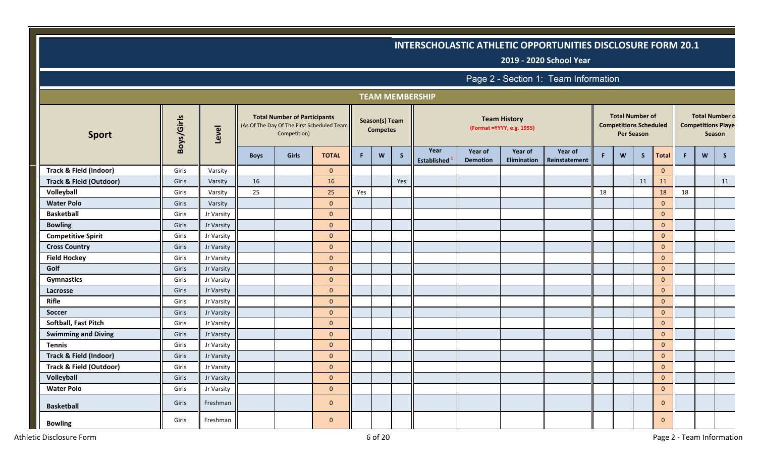**2019 - 2020 School Year**

|                                    |            |            |             |                                                     |                                            |     |                                   |              | <b>TEAM MEMBERSHIP</b>     |                            |                                                   |                          |    |                                                         |                   |              |    |   |                                                              |
|------------------------------------|------------|------------|-------------|-----------------------------------------------------|--------------------------------------------|-----|-----------------------------------|--------------|----------------------------|----------------------------|---------------------------------------------------|--------------------------|----|---------------------------------------------------------|-------------------|--------------|----|---|--------------------------------------------------------------|
| <b>Sport</b>                       | Boys/Girls | Level      |             | <b>Total Number of Participants</b><br>Competition) | (As Of The Day Of The First Scheduled Team |     | Season(s) Team<br><b>Competes</b> |              |                            |                            | <b>Team History</b><br>(Format = YYYY, e.g. 1955) |                          |    | <b>Total Number of</b><br><b>Competitions Scheduled</b> | <b>Per Season</b> |              |    |   | <b>Total Number o</b><br><b>Competitions Playe</b><br>Season |
|                                    |            |            | <b>Boys</b> | Girls                                               | <b>TOTAL</b>                               | F.  | W                                 | $\mathsf{S}$ | Year<br><b>Established</b> | Year of<br><b>Demotion</b> | Year of<br>Elimination                            | Year of<br>Reinstatement | F. | W                                                       | S                 | <b>Total</b> | F. | W | S                                                            |
| Track & Field (Indoor)             | Girls      | Varsity    |             |                                                     | $\overline{0}$                             |     |                                   |              |                            |                            |                                                   |                          |    |                                                         |                   | $\mathbf{0}$ |    |   |                                                              |
| <b>Track &amp; Field (Outdoor)</b> | Girls      | Varsity    | 16          |                                                     | 16                                         |     |                                   | Yes          |                            |                            |                                                   |                          |    |                                                         | 11                | 11           |    |   | 11                                                           |
| Volleyball                         | Girls      | Varsity    | 25          |                                                     | 25                                         | Yes |                                   |              |                            |                            |                                                   |                          | 18 |                                                         |                   | 18           | 18 |   |                                                              |
| <b>Water Polo</b>                  | Girls      | Varsity    |             |                                                     | $\mathbf{0}$                               |     |                                   |              |                            |                            |                                                   |                          |    |                                                         |                   | $\mathbf{0}$ |    |   |                                                              |
| <b>Basketball</b>                  | Girls      | Jr Varsity |             |                                                     | $\mathbf{0}$                               |     |                                   |              |                            |                            |                                                   |                          |    |                                                         |                   | $\mathbf{0}$ |    |   |                                                              |
| <b>Bowling</b>                     | Girls      | Jr Varsity |             |                                                     | $\mathbf{0}$                               |     |                                   |              |                            |                            |                                                   |                          |    |                                                         |                   | $\mathbf{0}$ |    |   |                                                              |
| <b>Competitive Spirit</b>          | Girls      | Jr Varsity |             |                                                     | $\mathbf{0}$                               |     |                                   |              |                            |                            |                                                   |                          |    |                                                         |                   | $\mathbf{0}$ |    |   |                                                              |
| <b>Cross Country</b>               | Girls      | Jr Varsity |             |                                                     | $\mathbf{0}$                               |     |                                   |              |                            |                            |                                                   |                          |    |                                                         |                   | $\mathbf{0}$ |    |   |                                                              |
| <b>Field Hockey</b>                | Girls      | Jr Varsity |             |                                                     | $\mathbf{0}$                               |     |                                   |              |                            |                            |                                                   |                          |    |                                                         |                   | $\mathbf{0}$ |    |   |                                                              |
| Golf                               | Girls      | Jr Varsity |             |                                                     | $\mathbf{0}$                               |     |                                   |              |                            |                            |                                                   |                          |    |                                                         |                   | $\mathbf 0$  |    |   |                                                              |
| <b>Gymnastics</b>                  | Girls      | Jr Varsity |             |                                                     | $\mathbf{0}$                               |     |                                   |              |                            |                            |                                                   |                          |    |                                                         |                   | $\mathbf 0$  |    |   |                                                              |
| Lacrosse                           | Girls      | Jr Varsity |             |                                                     | $\mathbf{0}$                               |     |                                   |              |                            |                            |                                                   |                          |    |                                                         |                   | $\mathbf 0$  |    |   |                                                              |
| Rifle                              | Girls      | Jr Varsity |             |                                                     | $\mathbf{0}$                               |     |                                   |              |                            |                            |                                                   |                          |    |                                                         |                   | $\mathbf{0}$ |    |   |                                                              |
| Soccer                             | Girls      | Jr Varsity |             |                                                     | $\mathbf{0}$                               |     |                                   |              |                            |                            |                                                   |                          |    |                                                         |                   | $\mathbf{0}$ |    |   |                                                              |
| Softball, Fast Pitch               | Girls      | Jr Varsity |             |                                                     | $\mathbf{0}$                               |     |                                   |              |                            |                            |                                                   |                          |    |                                                         |                   | $\mathbf{0}$ |    |   |                                                              |
| <b>Swimming and Diving</b>         | Girls      | Jr Varsity |             |                                                     | $\mathbf{0}$                               |     |                                   |              |                            |                            |                                                   |                          |    |                                                         |                   | $\mathbf{0}$ |    |   |                                                              |
| <b>Tennis</b>                      | Girls      | Jr Varsity |             |                                                     | $\mathbf{0}$                               |     |                                   |              |                            |                            |                                                   |                          |    |                                                         |                   | $\mathbf{0}$ |    |   |                                                              |
| Track & Field (Indoor)             | Girls      | Jr Varsity |             |                                                     | $\mathbf{0}$                               |     |                                   |              |                            |                            |                                                   |                          |    |                                                         |                   | $\mathbf{0}$ |    |   |                                                              |
| <b>Track &amp; Field (Outdoor)</b> | Girls      | Jr Varsity |             |                                                     | $\mathbf{0}$                               |     |                                   |              |                            |                            |                                                   |                          |    |                                                         |                   | $\mathbf{0}$ |    |   |                                                              |
| Volleyball                         | Girls      | Jr Varsity |             |                                                     | $\mathbf{0}$                               |     |                                   |              |                            |                            |                                                   |                          |    |                                                         |                   | $\mathbf 0$  |    |   |                                                              |
| <b>Water Polo</b>                  | Girls      | Jr Varsity |             |                                                     | $\mathbf{0}$                               |     |                                   |              |                            |                            |                                                   |                          |    |                                                         |                   | $\mathbf 0$  |    |   |                                                              |
| <b>Basketball</b>                  | Girls      | Freshman   |             |                                                     | $\mathbf{0}$                               |     |                                   |              |                            |                            |                                                   |                          |    |                                                         |                   | $\mathbf{0}$ |    |   |                                                              |
| <b>Bowling</b>                     | Girls      | Freshman   |             |                                                     | $\mathbf{0}$                               |     |                                   |              |                            |                            |                                                   |                          |    |                                                         |                   | $\mathbf{0}$ |    |   |                                                              |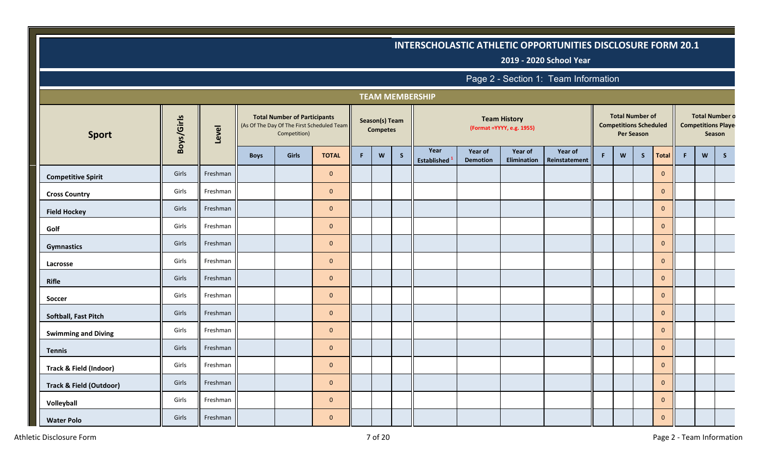**2019 - 2020 School Year**

|                                    |            |          |             |                                                     |                                            |   |                                   |              | <b>TEAM MEMBERSHIP</b>     |                            |                                                   |                          |    |                                                         |                   |                |    |   |                                                              |
|------------------------------------|------------|----------|-------------|-----------------------------------------------------|--------------------------------------------|---|-----------------------------------|--------------|----------------------------|----------------------------|---------------------------------------------------|--------------------------|----|---------------------------------------------------------|-------------------|----------------|----|---|--------------------------------------------------------------|
| <b>Sport</b>                       | Boys/Girls | Level    |             | <b>Total Number of Participants</b><br>Competition) | (As Of The Day Of The First Scheduled Team |   | Season(s) Team<br><b>Competes</b> |              |                            |                            | <b>Team History</b><br>(Format = YYYY, e.g. 1955) |                          |    | <b>Total Number of</b><br><b>Competitions Scheduled</b> | <b>Per Season</b> |                |    |   | <b>Total Number o</b><br><b>Competitions Playe</b><br>Season |
|                                    |            |          | <b>Boys</b> | Girls                                               | <b>TOTAL</b>                               | F | W                                 | $\mathsf{S}$ | Year<br><b>Established</b> | Year of<br><b>Demotion</b> | Year of<br>Elimination                            | Year of<br>Reinstatement | F. | W                                                       | S                 | Total          | F. | W | S                                                            |
| <b>Competitive Spirit</b>          | Girls      | Freshman |             |                                                     | $\mathbf 0$                                |   |                                   |              |                            |                            |                                                   |                          |    |                                                         |                   | $\mathbf{0}$   |    |   |                                                              |
| <b>Cross Country</b>               | Girls      | Freshman |             |                                                     | $\mathbf 0$                                |   |                                   |              |                            |                            |                                                   |                          |    |                                                         |                   | $\mathbf{0}$   |    |   |                                                              |
| <b>Field Hockey</b>                | Girls      | Freshman |             |                                                     | $\mathbf{0}$                               |   |                                   |              |                            |                            |                                                   |                          |    |                                                         |                   | $\mathbf{0}$   |    |   |                                                              |
| Golf                               | Girls      | Freshman |             |                                                     | $\mathbf 0$                                |   |                                   |              |                            |                            |                                                   |                          |    |                                                         |                   | $\mathbf{0}$   |    |   |                                                              |
| <b>Gymnastics</b>                  | Girls      | Freshman |             |                                                     | $\mathbf{0}$                               |   |                                   |              |                            |                            |                                                   |                          |    |                                                         |                   | $\overline{0}$ |    |   |                                                              |
| Lacrosse                           | Girls      | Freshman |             |                                                     | $\mathbf{0}$                               |   |                                   |              |                            |                            |                                                   |                          |    |                                                         |                   | $\mathbf{0}$   |    |   |                                                              |
| Rifle                              | Girls      | Freshman |             |                                                     | $\mathbf 0$                                |   |                                   |              |                            |                            |                                                   |                          |    |                                                         |                   | $\mathbf{0}$   |    |   |                                                              |
| Soccer                             | Girls      | Freshman |             |                                                     | $\mathbf 0$                                |   |                                   |              |                            |                            |                                                   |                          |    |                                                         |                   | $\mathbf{0}$   |    |   |                                                              |
| Softball, Fast Pitch               | Girls      | Freshman |             |                                                     | $\mathbf{0}$                               |   |                                   |              |                            |                            |                                                   |                          |    |                                                         |                   | $\mathbf{0}$   |    |   |                                                              |
| <b>Swimming and Diving</b>         | Girls      | Freshman |             |                                                     | $\mathbf{0}$                               |   |                                   |              |                            |                            |                                                   |                          |    |                                                         |                   | $\mathbf{0}$   |    |   |                                                              |
| <b>Tennis</b>                      | Girls      | Freshman |             |                                                     | $\mathbf{0}$                               |   |                                   |              |                            |                            |                                                   |                          |    |                                                         |                   | $\mathbf{0}$   |    |   |                                                              |
| Track & Field (Indoor)             | Girls      | Freshman |             |                                                     | $\mathbf{0}$                               |   |                                   |              |                            |                            |                                                   |                          |    |                                                         |                   | $\mathbf 0$    |    |   |                                                              |
| <b>Track &amp; Field (Outdoor)</b> | Girls      | Freshman |             |                                                     | $\mathbf{0}$                               |   |                                   |              |                            |                            |                                                   |                          |    |                                                         |                   | $\mathbf{0}$   |    |   |                                                              |
| Volleyball                         | Girls      | Freshman |             |                                                     | $\mathbf{0}$                               |   |                                   |              |                            |                            |                                                   |                          |    |                                                         |                   | $\mathbf{0}$   |    |   |                                                              |
| <b>Water Polo</b>                  | Girls      | Freshman |             |                                                     | $\mathbf{0}$                               |   |                                   |              |                            |                            |                                                   |                          |    |                                                         |                   | $\mathbf{0}$   |    |   |                                                              |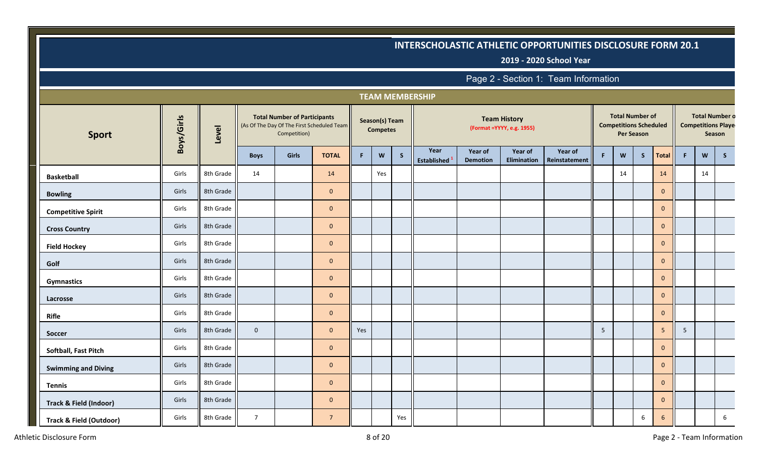**2019 - 2020 School Year**

|                                    |            |           |                |                                                                                                   |                |     |                                   |     | <b>TEAM MEMBERSHIP</b>     |                            |                                                   |                          |                 |                                                         |                   |              |                |    |                                                              |
|------------------------------------|------------|-----------|----------------|---------------------------------------------------------------------------------------------------|----------------|-----|-----------------------------------|-----|----------------------------|----------------------------|---------------------------------------------------|--------------------------|-----------------|---------------------------------------------------------|-------------------|--------------|----------------|----|--------------------------------------------------------------|
| <b>Sport</b>                       | Boys/Girls | Level     |                | <b>Total Number of Participants</b><br>(As Of The Day Of The First Scheduled Team<br>Competition) |                |     | Season(s) Team<br><b>Competes</b> |     |                            |                            | <b>Team History</b><br>(Format = YYYY, e.g. 1955) |                          |                 | <b>Total Number of</b><br><b>Competitions Scheduled</b> | <b>Per Season</b> |              |                |    | <b>Total Number o</b><br><b>Competitions Playe</b><br>Season |
|                                    |            |           | <b>Boys</b>    | Girls                                                                                             | <b>TOTAL</b>   | F.  | W                                 | S   | Year<br><b>Established</b> | Year of<br><b>Demotion</b> | Year of<br>Elimination                            | Year of<br>Reinstatement | F.              | W                                                       | S                 | <b>Total</b> | F.             | W  | $\mathsf{S}$                                                 |
| <b>Basketball</b>                  | Girls      | 8th Grade | 14             |                                                                                                   | 14             |     | Yes                               |     |                            |                            |                                                   |                          |                 | 14                                                      |                   | 14           |                | 14 |                                                              |
| <b>Bowling</b>                     | Girls      | 8th Grade |                |                                                                                                   | $\overline{0}$ |     |                                   |     |                            |                            |                                                   |                          |                 |                                                         |                   | $\mathbf{0}$ |                |    |                                                              |
| <b>Competitive Spirit</b>          | Girls      | 8th Grade |                |                                                                                                   | $\overline{0}$ |     |                                   |     |                            |                            |                                                   |                          |                 |                                                         |                   | $\mathbf{0}$ |                |    |                                                              |
| <b>Cross Country</b>               | Girls      | 8th Grade |                |                                                                                                   | $\mathbf{0}$   |     |                                   |     |                            |                            |                                                   |                          |                 |                                                         |                   | $\mathbf{0}$ |                |    |                                                              |
| <b>Field Hockey</b>                | Girls      | 8th Grade |                |                                                                                                   | $\mathbf 0$    |     |                                   |     |                            |                            |                                                   |                          |                 |                                                         |                   | $\mathbf{0}$ |                |    |                                                              |
| Golf                               | Girls      | 8th Grade |                |                                                                                                   | $\overline{0}$ |     |                                   |     |                            |                            |                                                   |                          |                 |                                                         |                   | $\mathbf{0}$ |                |    |                                                              |
| <b>Gymnastics</b>                  | Girls      | 8th Grade |                |                                                                                                   | $\overline{0}$ |     |                                   |     |                            |                            |                                                   |                          |                 |                                                         |                   | $\mathbf{0}$ |                |    |                                                              |
| Lacrosse                           | Girls      | 8th Grade |                |                                                                                                   | $\mathbf 0$    |     |                                   |     |                            |                            |                                                   |                          |                 |                                                         |                   | $\mathbf{0}$ |                |    |                                                              |
| <b>Rifle</b>                       | Girls      | 8th Grade |                |                                                                                                   | $\mathbf 0$    |     |                                   |     |                            |                            |                                                   |                          |                 |                                                         |                   | $\mathbf 0$  |                |    |                                                              |
| Soccer                             | Girls      | 8th Grade | $\mathbf 0$    |                                                                                                   | $\overline{0}$ | Yes |                                   |     |                            |                            |                                                   |                          | $5\overline{)}$ |                                                         |                   | 5            | 5 <sub>1</sub> |    |                                                              |
| Softball, Fast Pitch               | Girls      | 8th Grade |                |                                                                                                   | $\overline{0}$ |     |                                   |     |                            |                            |                                                   |                          |                 |                                                         |                   | $\mathbf{0}$ |                |    |                                                              |
| <b>Swimming and Diving</b>         | Girls      | 8th Grade |                |                                                                                                   | $\overline{0}$ |     |                                   |     |                            |                            |                                                   |                          |                 |                                                         |                   | $\mathbf{0}$ |                |    |                                                              |
| <b>Tennis</b>                      | Girls      | 8th Grade |                |                                                                                                   | $\mathbf{0}$   |     |                                   |     |                            |                            |                                                   |                          |                 |                                                         |                   | $\mathbf{0}$ |                |    |                                                              |
| <b>Track &amp; Field (Indoor)</b>  | Girls      | 8th Grade |                |                                                                                                   | $\mathbf{0}$   |     |                                   |     |                            |                            |                                                   |                          |                 |                                                         |                   | $\mathbf{0}$ |                |    |                                                              |
| <b>Track &amp; Field (Outdoor)</b> | Girls      | 8th Grade | $\overline{7}$ |                                                                                                   | $\overline{7}$ |     |                                   | Yes |                            |                            |                                                   |                          |                 |                                                         | 6                 | 6            |                |    | 6                                                            |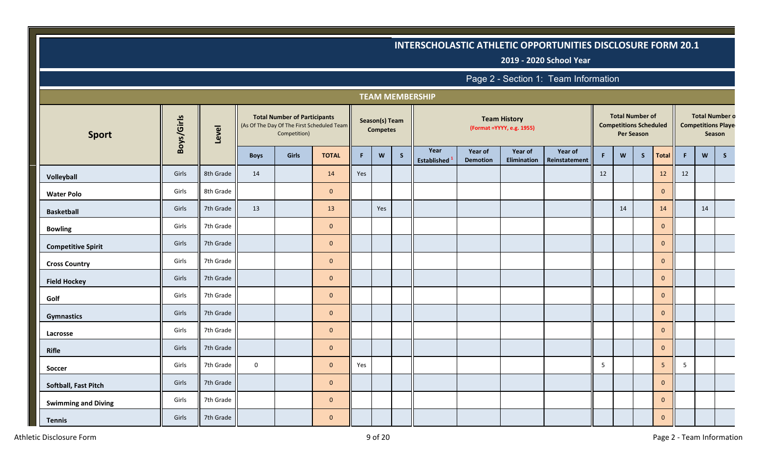**2019 - 2020 School Year**

|                            |            |           |             |                                                                                                   |                |     |                                   |              | <b>TEAM MEMBERSHIP</b>     |                            |                                                   |                          |    |                                                         |                   |              |    |    |                                                               |
|----------------------------|------------|-----------|-------------|---------------------------------------------------------------------------------------------------|----------------|-----|-----------------------------------|--------------|----------------------------|----------------------------|---------------------------------------------------|--------------------------|----|---------------------------------------------------------|-------------------|--------------|----|----|---------------------------------------------------------------|
| <b>Sport</b>               | Boys/Girls | Level     |             | <b>Total Number of Participants</b><br>(As Of The Day Of The First Scheduled Team<br>Competition) |                |     | Season(s) Team<br><b>Competes</b> |              |                            |                            | <b>Team History</b><br>(Format = YYYY, e.g. 1955) |                          |    | <b>Total Number of</b><br><b>Competitions Scheduled</b> | <b>Per Season</b> |              |    |    | <b>Total Number o</b><br><b>Competitions Player</b><br>Season |
|                            |            |           | <b>Boys</b> | Girls                                                                                             | <b>TOTAL</b>   | F.  | <b>W</b>                          | $\mathsf{S}$ | Year<br><b>Established</b> | Year of<br><b>Demotion</b> | Year of<br>Elimination                            | Year of<br>Reinstatement | F  | W                                                       | S                 | Total        | F. | W  | $\mathsf{S}$                                                  |
| Volleyball                 | Girls      | 8th Grade | 14          |                                                                                                   | 14             | Yes |                                   |              |                            |                            |                                                   |                          | 12 |                                                         |                   | 12           | 12 |    |                                                               |
| <b>Water Polo</b>          | Girls      | 8th Grade |             |                                                                                                   | $\mathbf{0}$   |     |                                   |              |                            |                            |                                                   |                          |    |                                                         |                   | $\mathbf{0}$ |    |    |                                                               |
| <b>Basketball</b>          | Girls      | 7th Grade | 13          |                                                                                                   | 13             |     | Yes                               |              |                            |                            |                                                   |                          |    | 14                                                      |                   | 14           |    | 14 |                                                               |
| <b>Bowling</b>             | Girls      | 7th Grade |             |                                                                                                   | $\mathbf{0}$   |     |                                   |              |                            |                            |                                                   |                          |    |                                                         |                   | $\mathbf{0}$ |    |    |                                                               |
| <b>Competitive Spirit</b>  | Girls      | 7th Grade |             |                                                                                                   | $\overline{0}$ |     |                                   |              |                            |                            |                                                   |                          |    |                                                         |                   | $\mathbf{0}$ |    |    |                                                               |
| <b>Cross Country</b>       | Girls      | 7th Grade |             |                                                                                                   | $\overline{0}$ |     |                                   |              |                            |                            |                                                   |                          |    |                                                         |                   | $\mathbf{0}$ |    |    |                                                               |
| <b>Field Hockey</b>        | Girls      | 7th Grade |             |                                                                                                   | $\mathbf{0}$   |     |                                   |              |                            |                            |                                                   |                          |    |                                                         |                   | $\mathbf{0}$ |    |    |                                                               |
| Golf                       | Girls      | 7th Grade |             |                                                                                                   | $\overline{0}$ |     |                                   |              |                            |                            |                                                   |                          |    |                                                         |                   | $\mathbf{0}$ |    |    |                                                               |
| <b>Gymnastics</b>          | Girls      | 7th Grade |             |                                                                                                   | $\mathbf{0}$   |     |                                   |              |                            |                            |                                                   |                          |    |                                                         |                   | $\mathbf{0}$ |    |    |                                                               |
| Lacrosse                   | Girls      | 7th Grade |             |                                                                                                   | $\mathbf{0}$   |     |                                   |              |                            |                            |                                                   |                          |    |                                                         |                   | $\mathbf{0}$ |    |    |                                                               |
| <b>Rifle</b>               | Girls      | 7th Grade |             |                                                                                                   | $\mathbf{0}$   |     |                                   |              |                            |                            |                                                   |                          |    |                                                         |                   | $\mathbf{0}$ |    |    |                                                               |
| Soccer                     | Girls      | 7th Grade | $\mathbf 0$ |                                                                                                   | $\mathbf{0}$   | Yes |                                   |              |                            |                            |                                                   |                          | 5  |                                                         |                   | 5            | 5  |    |                                                               |
| Softball, Fast Pitch       | Girls      | 7th Grade |             |                                                                                                   | $\mathbf{0}$   |     |                                   |              |                            |                            |                                                   |                          |    |                                                         |                   | $\mathbf{0}$ |    |    |                                                               |
| <b>Swimming and Diving</b> | Girls      | 7th Grade |             |                                                                                                   | $\mathbf{0}$   |     |                                   |              |                            |                            |                                                   |                          |    |                                                         |                   | $\mathbf{0}$ |    |    |                                                               |
| <b>Tennis</b>              | Girls      | 7th Grade |             |                                                                                                   | $\mathbf{0}$   |     |                                   |              |                            |                            |                                                   |                          |    |                                                         |                   | $\mathbf{0}$ |    |    |                                                               |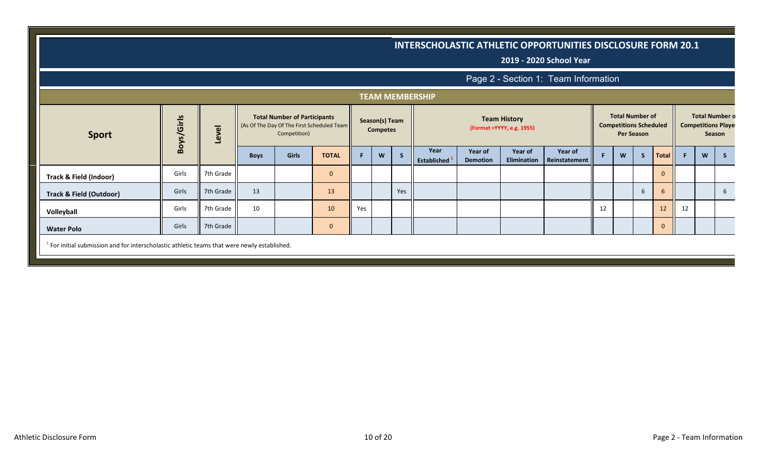|                                                                                                 |                                                                                                                                                                                                                                                                                                                                                                                                                                       |           |             |              |              |     |   |     |                    |                 |                    | <b>INTERSCHOLASTIC ATHLETIC OPPORTUNITIES DISCLOSURE FORM 20.1</b><br>2019 - 2020 School Year |    |   |              |              |    |   |    |
|-------------------------------------------------------------------------------------------------|---------------------------------------------------------------------------------------------------------------------------------------------------------------------------------------------------------------------------------------------------------------------------------------------------------------------------------------------------------------------------------------------------------------------------------------|-----------|-------------|--------------|--------------|-----|---|-----|--------------------|-----------------|--------------------|-----------------------------------------------------------------------------------------------|----|---|--------------|--------------|----|---|----|
|                                                                                                 |                                                                                                                                                                                                                                                                                                                                                                                                                                       |           |             |              |              |     |   |     |                    |                 |                    | Page 2 - Section 1: Team Information                                                          |    |   |              |              |    |   |    |
|                                                                                                 |                                                                                                                                                                                                                                                                                                                                                                                                                                       |           |             |              |              |     |   |     |                    |                 |                    |                                                                                               |    |   |              |              |    |   |    |
| <b>Sport</b>                                                                                    | <b>TEAM MEMBERSHIP</b><br><b>Total Number o</b><br><b>Total Number of</b><br><b>Total Number of Participants</b><br>Boys/Girls<br><b>Team History</b><br>Season(s) Team<br><b>Competitions Scheduled</b><br><b>Competitions Playe</b><br>(As Of The Day Of The First Scheduled Team<br>Level<br>(Format = YYYY, e.g. 1955)<br><b>Competes</b><br>Competition)<br><b>Per Season</b><br>Season<br>Year<br>Year of<br>Year of<br>Year of |           |             |              |              |     |   |     |                    |                 |                    |                                                                                               |    |   |              |              |    |   |    |
|                                                                                                 |                                                                                                                                                                                                                                                                                                                                                                                                                                       |           | <b>Boys</b> | <b>Girls</b> | <b>TOTAL</b> | F.  | W | -S  | <b>Established</b> | <b>Demotion</b> | <b>Elimination</b> | Reinstatement                                                                                 |    | W | $\mathsf{S}$ | Total        | F. | W | -S |
| <b>Track &amp; Field (Indoor)</b>                                                               | Girls                                                                                                                                                                                                                                                                                                                                                                                                                                 | 7th Grade |             |              | $\mathbf 0$  |     |   |     |                    |                 |                    |                                                                                               |    |   |              | $\mathbf{0}$ |    |   |    |
| <b>Track &amp; Field (Outdoor)</b>                                                              | Girls                                                                                                                                                                                                                                                                                                                                                                                                                                 | 7th Grade | 13          |              | 13           |     |   | Yes |                    |                 |                    |                                                                                               |    |   | 6            | -6           |    |   | 6  |
| Volleyball                                                                                      | Girls                                                                                                                                                                                                                                                                                                                                                                                                                                 | 7th Grade | 10          |              | 10           | Yes |   |     |                    |                 |                    |                                                                                               | 12 |   |              | 12           | 12 |   |    |
| <b>Water Polo</b>                                                                               | Girls                                                                                                                                                                                                                                                                                                                                                                                                                                 | 7th Grade |             |              | $\mathbf 0$  |     |   |     |                    |                 |                    |                                                                                               |    |   |              | $\mathbf{0}$ |    |   |    |
| $^1$ For initial submission and for interscholastic athletic teams that were newly established. |                                                                                                                                                                                                                                                                                                                                                                                                                                       |           |             |              |              |     |   |     |                    |                 |                    |                                                                                               |    |   |              |              |    |   |    |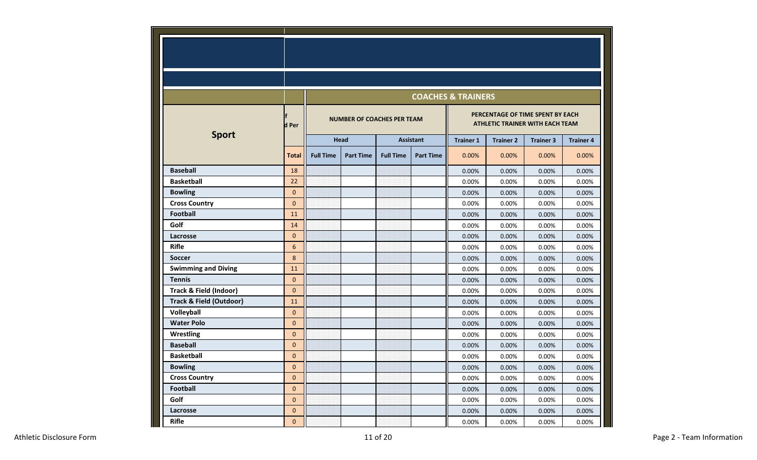|                                    |                |                  |                                   |                  |                  | <b>COACHES &amp; TRAINERS</b> |                                                                            |                  |                  |
|------------------------------------|----------------|------------------|-----------------------------------|------------------|------------------|-------------------------------|----------------------------------------------------------------------------|------------------|------------------|
|                                    | d Per          |                  | <b>NUMBER OF COACHES PER TEAM</b> |                  |                  |                               | PERCENTAGE OF TIME SPENT BY EACH<br><b>ATHLETIC TRAINER WITH EACH TEAM</b> |                  |                  |
| <b>Sport</b>                       |                |                  | Head                              |                  | <b>Assistant</b> | <b>Trainer 1</b>              | <b>Trainer 2</b>                                                           | <b>Trainer 3</b> | <b>Trainer 4</b> |
|                                    | <b>Total</b>   | <b>Full Time</b> | <b>Part Time</b>                  | <b>Full Time</b> | <b>Part Time</b> | 0.00%                         | 0.00%                                                                      | 0.00%            | 0.00%            |
| <b>Baseball</b>                    | 18             |                  |                                   |                  |                  | 0.00%                         | 0.00%                                                                      | 0.00%            | 0.00%            |
| <b>Basketball</b>                  | 22             |                  |                                   |                  |                  | 0.00%                         | 0.00%                                                                      | 0.00%            | 0.00%            |
| <b>Bowling</b>                     | $\mathbf{0}$   |                  |                                   |                  |                  | 0.00%                         | 0.00%                                                                      | 0.00%            | 0.00%            |
| <b>Cross Country</b>               | $\overline{0}$ |                  |                                   |                  |                  | 0.00%                         | 0.00%                                                                      | 0.00%            | 0.00%            |
| <b>Football</b>                    | 11             |                  |                                   |                  |                  | 0.00%                         | 0.00%                                                                      | 0.00%            | 0.00%            |
| Golf                               | 14             |                  |                                   |                  |                  | 0.00%                         | 0.00%                                                                      | 0.00%            | 0.00%            |
| Lacrosse                           | $\mathbf 0$    |                  |                                   |                  |                  | 0.00%                         | 0.00%                                                                      | 0.00%            | 0.00%            |
| <b>Rifle</b>                       | 6              |                  |                                   |                  |                  | 0.00%                         | 0.00%                                                                      | 0.00%            | 0.00%            |
| <b>Soccer</b>                      | 8              |                  |                                   |                  |                  | 0.00%                         | 0.00%                                                                      | 0.00%            | 0.00%            |
| <b>Swimming and Diving</b>         | 11             |                  |                                   |                  |                  | 0.00%                         | 0.00%                                                                      | 0.00%            | 0.00%            |
| <b>Tennis</b>                      | $\mathbf 0$    |                  |                                   |                  |                  | 0.00%                         | 0.00%                                                                      | 0.00%            | 0.00%            |
| <b>Track &amp; Field (Indoor)</b>  | $\overline{0}$ |                  |                                   |                  |                  | 0.00%                         | 0.00%                                                                      | 0.00%            | 0.00%            |
| <b>Track &amp; Field (Outdoor)</b> | 11             |                  |                                   |                  |                  | 0.00%                         | 0.00%                                                                      | 0.00%            | 0.00%            |
| Volleyball                         | $\mathbf{0}$   |                  |                                   |                  |                  | 0.00%                         | 0.00%                                                                      | 0.00%            | 0.00%            |
| <b>Water Polo</b>                  | $\overline{0}$ |                  |                                   |                  |                  | 0.00%                         | 0.00%                                                                      | 0.00%            | 0.00%            |
| Wrestling                          | $\mathbf 0$    |                  |                                   |                  |                  | 0.00%                         | 0.00%                                                                      | 0.00%            | 0.00%            |
| <b>Baseball</b>                    | $\mathbf 0$    |                  |                                   |                  |                  | 0.00%                         | 0.00%                                                                      | 0.00%            | 0.00%            |
| <b>Basketball</b>                  | $\mathbf{0}$   |                  |                                   |                  |                  | 0.00%                         | 0.00%                                                                      | 0.00%            | 0.00%            |
| <b>Bowling</b>                     | $\mathbf 0$    |                  |                                   |                  |                  | 0.00%                         | 0.00%                                                                      | 0.00%            | 0.00%            |
| <b>Cross Country</b>               | $\mathbf 0$    |                  |                                   |                  |                  | 0.00%                         | 0.00%                                                                      | 0.00%            | 0.00%            |
| <b>Football</b>                    | $\mathbf 0$    |                  |                                   |                  |                  | 0.00%                         | 0.00%                                                                      | 0.00%            | 0.00%            |
| Golf                               | $\mathbf 0$    |                  |                                   |                  |                  | 0.00%                         | 0.00%                                                                      | 0.00%            | 0.00%            |
| Lacrosse                           | $\mathbf 0$    |                  |                                   |                  |                  | 0.00%                         | 0.00%                                                                      | 0.00%            | 0.00%            |
| <b>Rifle</b>                       | $\mathbf{0}$   |                  |                                   |                  |                  | 0.00%                         | 0.00%                                                                      | 0.00%            | 0.00%            |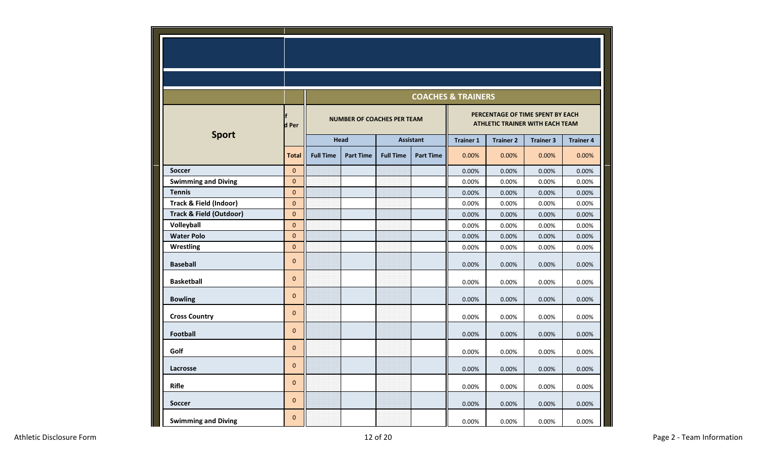|                                    |              |                  |                                   |                  |                  | <b>COACHES &amp; TRAINERS</b> |                                                                            |                  |                  |
|------------------------------------|--------------|------------------|-----------------------------------|------------------|------------------|-------------------------------|----------------------------------------------------------------------------|------------------|------------------|
|                                    | d Per        |                  | <b>NUMBER OF COACHES PER TEAM</b> |                  |                  |                               | PERCENTAGE OF TIME SPENT BY EACH<br><b>ATHLETIC TRAINER WITH EACH TEAM</b> |                  |                  |
| <b>Sport</b>                       |              |                  | <b>Head</b>                       |                  | <b>Assistant</b> | <b>Trainer 1</b>              | <b>Trainer 2</b>                                                           | <b>Trainer 3</b> | <b>Trainer 4</b> |
|                                    | <b>Total</b> | <b>Full Time</b> | <b>Part Time</b>                  | <b>Full Time</b> | <b>Part Time</b> | 0.00%                         | 0.00%                                                                      | 0.00%            | 0.00%            |
| <b>Soccer</b>                      | $\mathbf{0}$ |                  |                                   |                  |                  | 0.00%                         | 0.00%                                                                      | 0.00%            | 0.00%            |
| <b>Swimming and Diving</b>         | $\mathbf 0$  |                  |                                   |                  |                  | 0.00%                         | 0.00%                                                                      | 0.00%            | 0.00%            |
| <b>Tennis</b>                      | $\pmb{0}$    |                  |                                   |                  |                  | 0.00%                         | 0.00%                                                                      | 0.00%            | 0.00%            |
| Track & Field (Indoor)             | $\mathbf 0$  |                  |                                   |                  |                  | 0.00%                         | 0.00%                                                                      | 0.00%            | 0.00%            |
| <b>Track &amp; Field (Outdoor)</b> | $\mathbf 0$  |                  |                                   |                  |                  | 0.00%                         | 0.00%                                                                      | 0.00%            | 0.00%            |
| Volleyball                         | $\pmb{0}$    |                  |                                   |                  |                  | 0.00%                         | 0.00%                                                                      | 0.00%            | 0.00%            |
| <b>Water Polo</b>                  | $\pmb{0}$    |                  |                                   |                  |                  | 0.00%                         | 0.00%                                                                      | 0.00%            | 0.00%            |
| Wrestling                          | $\mathbf 0$  |                  |                                   |                  |                  | 0.00%                         | 0.00%                                                                      | 0.00%            | 0.00%            |
| <b>Baseball</b>                    | $\mathbf 0$  |                  |                                   |                  |                  | 0.00%                         | 0.00%                                                                      | 0.00%            | 0.00%            |
| <b>Basketball</b>                  | $\mathbf{0}$ |                  |                                   |                  |                  | 0.00%                         | 0.00%                                                                      | 0.00%            | 0.00%            |
| <b>Bowling</b>                     | $\pmb{0}$    |                  |                                   |                  |                  | 0.00%                         | 0.00%                                                                      | 0.00%            | 0.00%            |
| <b>Cross Country</b>               | $\mathbf{0}$ |                  |                                   |                  |                  | 0.00%                         | 0.00%                                                                      | 0.00%            | 0.00%            |
| <b>Football</b>                    | $\mathbf{0}$ |                  |                                   |                  |                  | 0.00%                         | 0.00%                                                                      | 0.00%            | 0.00%            |
| Golf                               | $\mathbf{0}$ |                  |                                   |                  |                  | 0.00%                         | 0.00%                                                                      | 0.00%            | 0.00%            |
| Lacrosse                           | $\mathbf 0$  |                  |                                   |                  |                  | 0.00%                         | 0.00%                                                                      | 0.00%            | 0.00%            |
| <b>Rifle</b>                       | $\mathbf 0$  |                  |                                   |                  |                  | 0.00%                         | 0.00%                                                                      | 0.00%            | 0.00%            |
| <b>Soccer</b>                      | $\mathbf 0$  |                  |                                   |                  |                  | 0.00%                         | 0.00%                                                                      | 0.00%            | 0.00%            |
| <b>Swimming and Diving</b>         | $\Omega$     |                  |                                   |                  |                  | 0.00%                         | 0.00%                                                                      | 0.00%            | 0.00%            |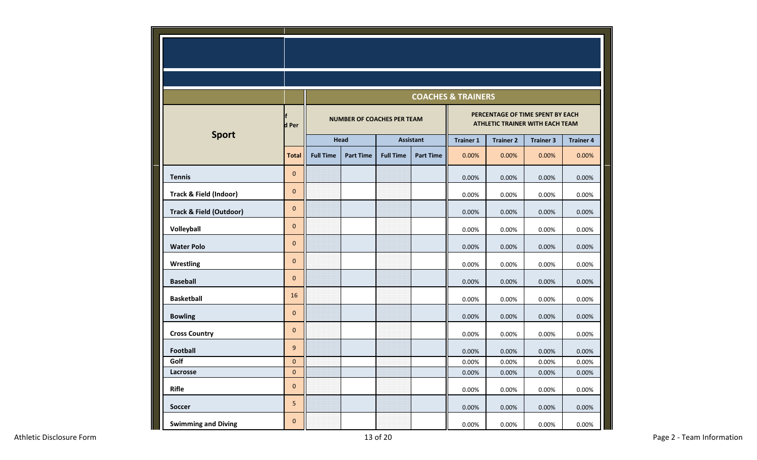|                                    |              | <b>COACHES &amp; TRAINERS</b> |                                   |                  |                  |                                                                     |                  |                  |                  |  |
|------------------------------------|--------------|-------------------------------|-----------------------------------|------------------|------------------|---------------------------------------------------------------------|------------------|------------------|------------------|--|
|                                    | d Per        |                               | <b>NUMBER OF COACHES PER TEAM</b> |                  |                  | PERCENTAGE OF TIME SPENT BY EACH<br>ATHLETIC TRAINER WITH EACH TEAM |                  |                  |                  |  |
| <b>Sport</b>                       |              |                               | Head                              | <b>Assistant</b> |                  | <b>Trainer 1</b>                                                    | <b>Trainer 2</b> | <b>Trainer 3</b> | <b>Trainer 4</b> |  |
|                                    | <b>Total</b> | <b>Full Time</b>              | <b>Part Time</b>                  | <b>Full Time</b> | <b>Part Time</b> | 0.00%                                                               | 0.00%            | 0.00%            | 0.00%            |  |
| <b>Tennis</b>                      | $\mathbf 0$  |                               |                                   |                  |                  | 0.00%                                                               | 0.00%            | 0.00%            | 0.00%            |  |
| <b>Track &amp; Field (Indoor)</b>  | $\mathbf 0$  |                               |                                   |                  |                  | 0.00%                                                               | 0.00%            | 0.00%            | 0.00%            |  |
| <b>Track &amp; Field (Outdoor)</b> | $\mathbf 0$  |                               |                                   |                  |                  | 0.00%                                                               | 0.00%            | 0.00%            | 0.00%            |  |
| Volleyball                         | $\mathbf 0$  |                               |                                   |                  |                  | 0.00%                                                               | 0.00%            | 0.00%            | 0.00%            |  |
| <b>Water Polo</b>                  | $\mathbf 0$  |                               |                                   |                  |                  | 0.00%                                                               | 0.00%            | 0.00%            | 0.00%            |  |
| Wrestling                          | $\mathbf 0$  |                               |                                   |                  |                  | 0.00%                                                               | 0.00%            | 0.00%            | 0.00%            |  |
| <b>Baseball</b>                    | $\mathbf 0$  |                               |                                   |                  |                  | 0.00%                                                               | 0.00%            | 0.00%            | 0.00%            |  |
| <b>Basketball</b>                  | 16           |                               |                                   |                  |                  | 0.00%                                                               | 0.00%            | 0.00%            | 0.00%            |  |
| <b>Bowling</b>                     | $\pmb{0}$    |                               |                                   |                  |                  | 0.00%                                                               | 0.00%            | 0.00%            | 0.00%            |  |
| <b>Cross Country</b>               | $\mathbf 0$  |                               |                                   |                  |                  | 0.00%                                                               | 0.00%            | 0.00%            | 0.00%            |  |
| Football                           | 9            |                               |                                   |                  |                  | 0.00%                                                               | 0.00%            | 0.00%            | 0.00%            |  |
| Golf                               | $\pmb{0}$    |                               |                                   |                  |                  | 0.00%                                                               | 0.00%            | 0.00%            | 0.00%            |  |
| Lacrosse                           | $\pmb{0}$    |                               |                                   |                  |                  | 0.00%                                                               | $0.00\%$         | 0.00%            | 0.00%            |  |
| <b>Rifle</b>                       | $\pmb{0}$    |                               |                                   |                  |                  | 0.00%                                                               | 0.00%            | 0.00%            | 0.00%            |  |
| Soccer                             | 5            |                               |                                   |                  |                  | 0.00%                                                               | 0.00%            | 0.00%            | 0.00%            |  |
| <b>Swimming and Diving</b>         | $\pmb{0}$    |                               |                                   |                  |                  | 0.00%                                                               | 0.00%            | 0.00%            | 0.00%            |  |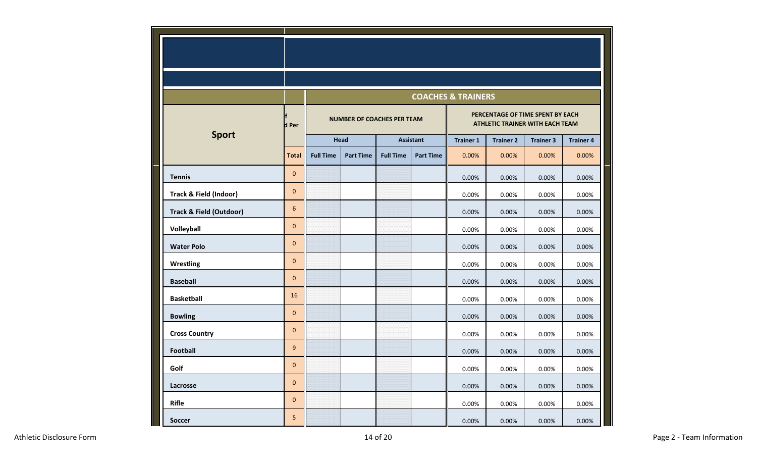|                                    |                  |                  |                                   |                  |                  | <b>COACHES &amp; TRAINERS</b>                                              |                  |                  |                  |  |
|------------------------------------|------------------|------------------|-----------------------------------|------------------|------------------|----------------------------------------------------------------------------|------------------|------------------|------------------|--|
|                                    | d Per            |                  | <b>NUMBER OF COACHES PER TEAM</b> |                  |                  | PERCENTAGE OF TIME SPENT BY EACH<br><b>ATHLETIC TRAINER WITH EACH TEAM</b> |                  |                  |                  |  |
| <b>Sport</b>                       |                  |                  | Head                              | <b>Assistant</b> |                  | <b>Trainer 1</b>                                                           | <b>Trainer 2</b> | <b>Trainer 3</b> | <b>Trainer 4</b> |  |
|                                    | <b>Total</b>     | <b>Full Time</b> | <b>Part Time</b>                  | <b>Full Time</b> | <b>Part Time</b> | 0.00%                                                                      | 0.00%            | 0.00%            | 0.00%            |  |
| <b>Tennis</b>                      | $\mathbf{0}$     |                  |                                   |                  |                  | 0.00%                                                                      | 0.00%            | 0.00%            | 0.00%            |  |
| <b>Track &amp; Field (Indoor)</b>  | $\pmb{0}$        |                  |                                   |                  |                  | 0.00%                                                                      | 0.00%            | 0.00%            | 0.00%            |  |
| <b>Track &amp; Field (Outdoor)</b> | 6                |                  |                                   |                  |                  | 0.00%                                                                      | 0.00%            | 0.00%            | 0.00%            |  |
| Volleyball                         | $\pmb{0}$        |                  |                                   |                  |                  | 0.00%                                                                      | 0.00%            | 0.00%            | 0.00%            |  |
| <b>Water Polo</b>                  | $\pmb{0}$        |                  |                                   |                  |                  | 0.00%                                                                      | 0.00%            | 0.00%            | 0.00%            |  |
| Wrestling                          | $\mathbf 0$      |                  |                                   |                  |                  | 0.00%                                                                      | 0.00%            | 0.00%            | 0.00%            |  |
| <b>Baseball</b>                    | $\mathbf{0}$     |                  |                                   |                  |                  | 0.00%                                                                      | 0.00%            | 0.00%            | 0.00%            |  |
| <b>Basketball</b>                  | 16               |                  |                                   |                  |                  | 0.00%                                                                      | 0.00%            | 0.00%            | 0.00%            |  |
| <b>Bowling</b>                     | $\pmb{0}$        |                  |                                   |                  |                  | 0.00%                                                                      | 0.00%            | 0.00%            | 0.00%            |  |
| <b>Cross Country</b>               | $\pmb{0}$        |                  |                                   |                  |                  | 0.00%                                                                      | 0.00%            | 0.00%            | 0.00%            |  |
| <b>Football</b>                    | $\boldsymbol{9}$ |                  |                                   |                  |                  | 0.00%                                                                      | 0.00%            | 0.00%            | 0.00%            |  |
| Golf                               | $\mathbf{0}$     |                  |                                   |                  |                  | 0.00%                                                                      | 0.00%            | 0.00%            | 0.00%            |  |
| Lacrosse                           | $\pmb{0}$        |                  |                                   |                  |                  | 0.00%                                                                      | 0.00%            | 0.00%            | 0.00%            |  |
| <b>Rifle</b>                       | $\mathbf 0$      |                  |                                   |                  |                  | 0.00%                                                                      | 0.00%            | 0.00%            | 0.00%            |  |
| <b>Soccer</b>                      | 5                |                  |                                   |                  |                  | 0.00%                                                                      | 0.00%            | 0.00%            | 0.00%            |  |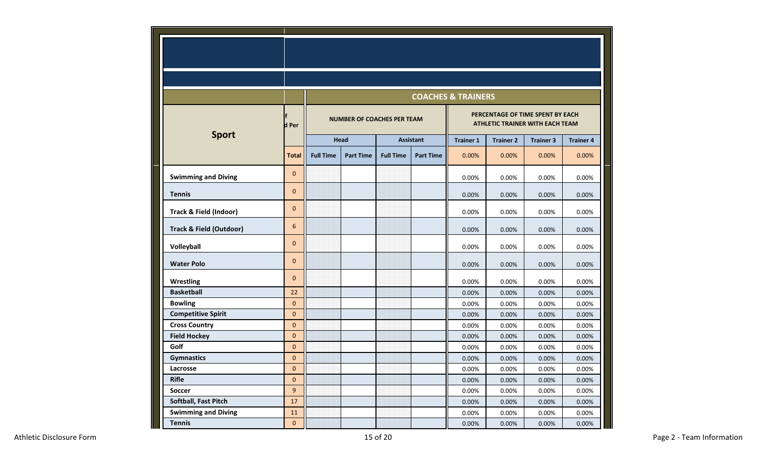|                                    |              |                  |                                   |                  |                  | <b>COACHES &amp; TRAINERS</b> |                  |                                                                            |                  |
|------------------------------------|--------------|------------------|-----------------------------------|------------------|------------------|-------------------------------|------------------|----------------------------------------------------------------------------|------------------|
|                                    | d Per        |                  | <b>NUMBER OF COACHES PER TEAM</b> |                  |                  |                               |                  | PERCENTAGE OF TIME SPENT BY EACH<br><b>ATHLETIC TRAINER WITH EACH TEAM</b> |                  |
| <b>Sport</b>                       |              |                  | Head                              |                  | <b>Assistant</b> |                               | <b>Trainer 2</b> | <b>Trainer 3</b>                                                           | <b>Trainer 4</b> |
|                                    | <b>Total</b> | <b>Full Time</b> | <b>Part Time</b>                  | <b>Full Time</b> | <b>Part Time</b> | 0.00%                         | 0.00%            | 0.00%                                                                      | 0.00%            |
| <b>Swimming and Diving</b>         | $\mathbf{0}$ |                  |                                   |                  |                  | 0.00%                         | 0.00%            | 0.00%                                                                      | 0.00%            |
| <b>Tennis</b>                      | $\mathbf 0$  |                  |                                   |                  |                  | 0.00%                         | 0.00%            | 0.00%                                                                      | 0.00%            |
| Track & Field (Indoor)             | $\mathbf 0$  |                  |                                   |                  |                  | 0.00%                         | 0.00%            | 0.00%                                                                      | 0.00%            |
| <b>Track &amp; Field (Outdoor)</b> | 6            |                  |                                   |                  |                  | 0.00%                         | 0.00%            | 0.00%                                                                      | 0.00%            |
| Volleyball                         | $\mathbf 0$  |                  |                                   |                  |                  | 0.00%                         | 0.00%            | 0.00%                                                                      | 0.00%            |
| <b>Water Polo</b>                  | $\mathbf 0$  |                  |                                   |                  |                  | 0.00%                         | 0.00%            | 0.00%                                                                      | 0.00%            |
| <b>Wrestling</b>                   | $\mathbf 0$  |                  |                                   |                  |                  | 0.00%                         | 0.00%            | 0.00%                                                                      | 0.00%            |
| <b>Basketball</b>                  | 22           |                  |                                   |                  |                  | 0.00%                         | 0.00%            | 0.00%                                                                      | 0.00%            |
| <b>Bowling</b>                     | $\pmb{0}$    |                  |                                   |                  |                  | 0.00%                         | 0.00%            | 0.00%                                                                      | 0.00%            |
| <b>Competitive Spirit</b>          | $\mathbf{0}$ |                  |                                   |                  |                  | 0.00%                         | 0.00%            | 0.00%                                                                      | 0.00%            |
| <b>Cross Country</b>               | $\mathbf 0$  |                  |                                   |                  |                  | 0.00%                         | 0.00%            | 0.00%                                                                      | 0.00%            |
| <b>Field Hockey</b>                | $\mathbf 0$  |                  |                                   |                  |                  | 0.00%                         | 0.00%            | 0.00%                                                                      | 0.00%            |
| Golf                               | $\pmb{0}$    |                  |                                   |                  |                  | 0.00%                         | 0.00%            | 0.00%                                                                      | 0.00%            |
| <b>Gymnastics</b>                  | $\mathbf{0}$ |                  |                                   |                  |                  | 0.00%                         | 0.00%            | 0.00%                                                                      | 0.00%            |
| Lacrosse                           | $\mathbf{0}$ |                  |                                   |                  |                  | 0.00%                         | 0.00%            | 0.00%                                                                      | 0.00%            |
| <b>Rifle</b>                       | $\mathbf 0$  |                  |                                   |                  |                  | 0.00%                         | 0.00%            | 0.00%                                                                      | 0.00%            |
| <b>Soccer</b>                      | 9            |                  |                                   |                  |                  | 0.00%                         | 0.00%            | 0.00%                                                                      | 0.00%            |
| Softball, Fast Pitch               | 17           |                  |                                   |                  |                  | 0.00%                         | 0.00%            | 0.00%                                                                      | 0.00%            |
| <b>Swimming and Diving</b>         | 11           |                  |                                   |                  |                  | 0.00%                         | 0.00%            | 0.00%                                                                      | 0.00%            |
| <b>Tennis</b>                      | $\pmb{0}$    |                  |                                   |                  |                  | 0.00%                         | 0.00%            | 0.00%                                                                      | 0.00%            |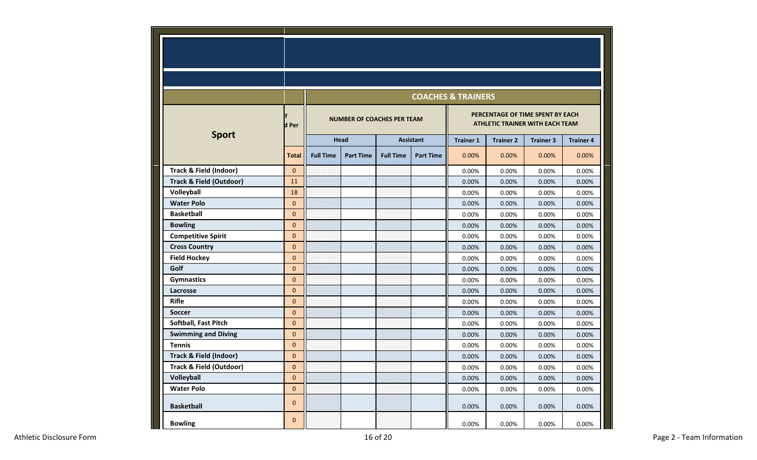|                                    |              |                                   | <b>COACHES &amp; TRAINERS</b> |                  |                  |                                                                            |                  |                  |                  |  |  |
|------------------------------------|--------------|-----------------------------------|-------------------------------|------------------|------------------|----------------------------------------------------------------------------|------------------|------------------|------------------|--|--|
|                                    | d Per        | <b>NUMBER OF COACHES PER TEAM</b> |                               |                  |                  | PERCENTAGE OF TIME SPENT BY EACH<br><b>ATHLETIC TRAINER WITH EACH TEAM</b> |                  |                  |                  |  |  |
| <b>Sport</b>                       |              | <b>Head</b>                       |                               | <b>Assistant</b> |                  | <b>Trainer 1</b>                                                           | <b>Trainer 2</b> | <b>Trainer 3</b> | <b>Trainer 4</b> |  |  |
|                                    | <b>Total</b> | <b>Full Time</b>                  | <b>Part Time</b>              | <b>Full Time</b> | <b>Part Time</b> | 0.00%                                                                      | 0.00%            | 0.00%            | 0.00%            |  |  |
| <b>Track &amp; Field (Indoor)</b>  | $\mathbf{0}$ |                                   |                               |                  |                  | 0.00%                                                                      | 0.00%            | 0.00%            | 0.00%            |  |  |
| <b>Track &amp; Field (Outdoor)</b> | 11           |                                   |                               |                  |                  | 0.00%                                                                      | 0.00%            | 0.00%            | 0.00%            |  |  |
| Volleyball                         | 18           |                                   |                               |                  |                  | 0.00%                                                                      | 0.00%            | 0.00%            | 0.00%            |  |  |
| <b>Water Polo</b>                  | $\Omega$     |                                   |                               |                  |                  | 0.00%                                                                      | 0.00%            | 0.00%            | 0.00%            |  |  |
| <b>Basketball</b>                  | $\mathbf 0$  |                                   |                               |                  |                  | 0.00%                                                                      | 0.00%            | 0.00%            | 0.00%            |  |  |
| <b>Bowling</b>                     | $\mathbf{0}$ |                                   |                               |                  |                  | 0.00%                                                                      | 0.00%            | 0.00%            | 0.00%            |  |  |
| <b>Competitive Spirit</b>          | $\Omega$     |                                   |                               |                  |                  | 0.00%                                                                      | 0.00%            | 0.00%            | 0.00%            |  |  |
| <b>Cross Country</b>               | $\mathbf 0$  |                                   |                               |                  |                  | 0.00%                                                                      | 0.00%            | 0.00%            | 0.00%            |  |  |
| <b>Field Hockey</b>                | $\mathbf{0}$ |                                   |                               |                  |                  | 0.00%                                                                      | 0.00%            | 0.00%            | 0.00%            |  |  |
| Golf                               | $\Omega$     |                                   |                               |                  |                  | 0.00%                                                                      | 0.00%            | 0.00%            | 0.00%            |  |  |
| <b>Gymnastics</b>                  | $\mathbf{0}$ |                                   |                               |                  |                  | 0.00%                                                                      | 0.00%            | 0.00%            | 0.00%            |  |  |
| Lacrosse                           | $\mathbf{0}$ |                                   |                               |                  |                  | 0.00%                                                                      | 0.00%            | 0.00%            | 0.00%            |  |  |
| <b>Rifle</b>                       | $\mathbf{0}$ |                                   |                               |                  |                  | 0.00%                                                                      | 0.00%            | 0.00%            | 0.00%            |  |  |
| <b>Soccer</b>                      | $\mathbf{0}$ |                                   |                               |                  |                  | 0.00%                                                                      | 0.00%            | 0.00%            | 0.00%            |  |  |
| Softball, Fast Pitch               | $\Omega$     |                                   |                               |                  |                  | 0.00%                                                                      | 0.00%            | 0.00%            | 0.00%            |  |  |
| <b>Swimming and Diving</b>         | $\mathbf{0}$ |                                   |                               |                  |                  | 0.00%                                                                      | 0.00%            | 0.00%            | 0.00%            |  |  |
| <b>Tennis</b>                      | $\mathbf{0}$ |                                   |                               |                  |                  | 0.00%                                                                      | 0.00%            | 0.00%            | 0.00%            |  |  |
| <b>Track &amp; Field (Indoor)</b>  | $\Omega$     |                                   |                               |                  |                  | 0.00%                                                                      | 0.00%            | 0.00%            | 0.00%            |  |  |
| <b>Track &amp; Field (Outdoor)</b> | $\mathbf{0}$ |                                   |                               |                  |                  | 0.00%                                                                      | 0.00%            | 0.00%            | 0.00%            |  |  |
| Volleyball                         | $\mathbf{0}$ |                                   |                               |                  |                  | 0.00%                                                                      | 0.00%            | 0.00%            | 0.00%            |  |  |
| <b>Water Polo</b>                  | $\mathbf{0}$ |                                   |                               |                  |                  | 0.00%                                                                      | 0.00%            | 0.00%            | 0.00%            |  |  |
| <b>Basketball</b>                  | $\mathbf 0$  |                                   |                               |                  |                  | 0.00%                                                                      | 0.00%            | 0.00%            | 0.00%            |  |  |
| <b>Bowling</b>                     | $\mathbf{0}$ |                                   |                               |                  |                  | 0.00%                                                                      | 0.00%            | 0.00%            | 0.00%            |  |  |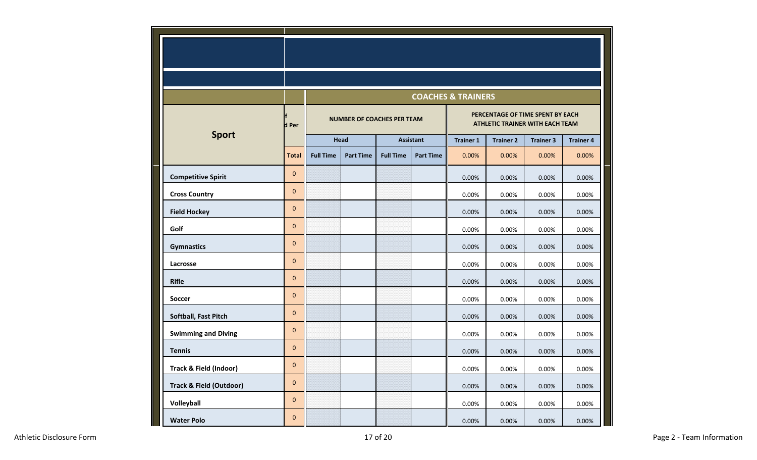|                                    |              | <b>COACHES &amp; TRAINERS</b>     |                  |                  |                  |                                                                            |                  |                  |                  |  |
|------------------------------------|--------------|-----------------------------------|------------------|------------------|------------------|----------------------------------------------------------------------------|------------------|------------------|------------------|--|
|                                    | d Per        | <b>NUMBER OF COACHES PER TEAM</b> |                  |                  |                  | PERCENTAGE OF TIME SPENT BY EACH<br><b>ATHLETIC TRAINER WITH EACH TEAM</b> |                  |                  |                  |  |
| <b>Sport</b>                       |              | Head                              |                  | <b>Assistant</b> |                  | <b>Trainer 1</b>                                                           | <b>Trainer 2</b> | <b>Trainer 3</b> | <b>Trainer 4</b> |  |
|                                    | <b>Total</b> | <b>Full Time</b>                  | <b>Part Time</b> | <b>Full Time</b> | <b>Part Time</b> | 0.00%                                                                      | 0.00%            | 0.00%            | 0.00%            |  |
| <b>Competitive Spirit</b>          | $\mathbf{0}$ |                                   |                  |                  |                  | 0.00%                                                                      | 0.00%            | 0.00%            | 0.00%            |  |
| <b>Cross Country</b>               | $\pmb{0}$    |                                   |                  |                  |                  | 0.00%                                                                      | 0.00%            | 0.00%            | 0.00%            |  |
| <b>Field Hockey</b>                | $\mathbf 0$  |                                   |                  |                  |                  | 0.00%                                                                      | 0.00%            | 0.00%            | 0.00%            |  |
| Golf                               | $\pmb{0}$    |                                   |                  |                  |                  | 0.00%                                                                      | 0.00%            | 0.00%            | 0.00%            |  |
| <b>Gymnastics</b>                  | $\pmb{0}$    |                                   |                  |                  |                  | 0.00%                                                                      | 0.00%            | 0.00%            | 0.00%            |  |
| Lacrosse                           | $\mathbf{0}$ |                                   |                  |                  |                  | 0.00%                                                                      | 0.00%            | 0.00%            | 0.00%            |  |
| <b>Rifle</b>                       | $\mathbf 0$  |                                   |                  |                  |                  | 0.00%                                                                      | 0.00%            | 0.00%            | 0.00%            |  |
| <b>Soccer</b>                      | $\pmb{0}$    |                                   |                  |                  |                  | 0.00%                                                                      | 0.00%            | 0.00%            | 0.00%            |  |
| Softball, Fast Pitch               | $\pmb{0}$    |                                   |                  |                  |                  | 0.00%                                                                      | 0.00%            | 0.00%            | 0.00%            |  |
| <b>Swimming and Diving</b>         | $\mathbf 0$  |                                   |                  |                  |                  | 0.00%                                                                      | 0.00%            | 0.00%            | 0.00%            |  |
| <b>Tennis</b>                      | $\mathbf 0$  |                                   |                  |                  |                  | 0.00%                                                                      | 0.00%            | 0.00%            | 0.00%            |  |
| Track & Field (Indoor)             | $\pmb{0}$    |                                   |                  |                  |                  | 0.00%                                                                      | 0.00%            | 0.00%            | 0.00%            |  |
| <b>Track &amp; Field (Outdoor)</b> | $\mathbf{0}$ |                                   |                  |                  |                  | 0.00%                                                                      | 0.00%            | 0.00%            | 0.00%            |  |
| Volleyball                         | $\pmb{0}$    |                                   |                  |                  |                  | 0.00%                                                                      | 0.00%            | 0.00%            | 0.00%            |  |
| <b>Water Polo</b>                  | $\pmb{0}$    |                                   |                  |                  |                  | 0.00%                                                                      | 0.00%            | 0.00%            | 0.00%            |  |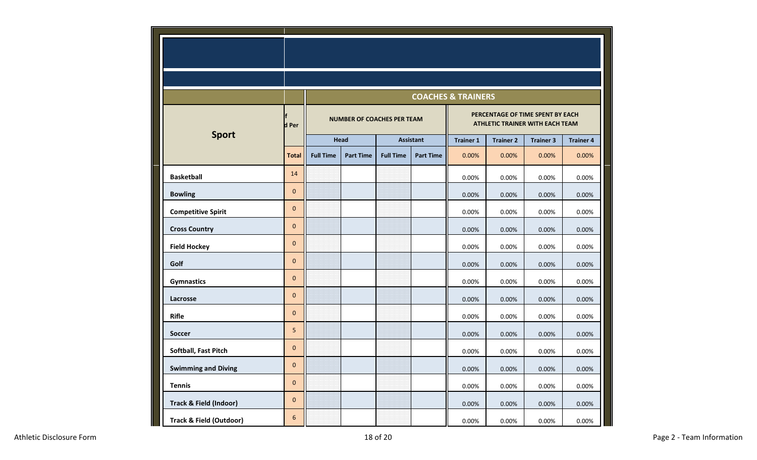|                                    |              |                                   |                  |                  |                  | <b>COACHES &amp; TRAINERS</b>                                       |                  |                  |                  |
|------------------------------------|--------------|-----------------------------------|------------------|------------------|------------------|---------------------------------------------------------------------|------------------|------------------|------------------|
|                                    | d Per        | <b>NUMBER OF COACHES PER TEAM</b> |                  |                  |                  | PERCENTAGE OF TIME SPENT BY EACH<br>ATHLETIC TRAINER WITH EACH TEAM |                  |                  |                  |
| <b>Sport</b>                       |              | <b>Head</b>                       |                  | <b>Assistant</b> |                  | <b>Trainer 1</b>                                                    | <b>Trainer 2</b> | <b>Trainer 3</b> | <b>Trainer 4</b> |
|                                    | <b>Total</b> | <b>Full Time</b>                  | <b>Part Time</b> | <b>Full Time</b> | <b>Part Time</b> | 0.00%                                                               | 0.00%            | 0.00%            | 0.00%            |
| <b>Basketball</b>                  | 14           |                                   |                  |                  |                  | 0.00%                                                               | 0.00%            | 0.00%            | 0.00%            |
| <b>Bowling</b>                     | $\pmb{0}$    |                                   |                  |                  |                  | 0.00%                                                               | 0.00%            | 0.00%            | 0.00%            |
| <b>Competitive Spirit</b>          | $\mathbf 0$  |                                   |                  |                  |                  | 0.00%                                                               | 0.00%            | 0.00%            | 0.00%            |
| <b>Cross Country</b>               | $\mathbf{0}$ |                                   |                  |                  |                  | 0.00%                                                               | 0.00%            | 0.00%            | 0.00%            |
| <b>Field Hockey</b>                | $\pmb{0}$    |                                   |                  |                  |                  | 0.00%                                                               | 0.00%            | 0.00%            | 0.00%            |
| Golf                               | $\mathbf 0$  |                                   |                  |                  |                  | 0.00%                                                               | 0.00%            | 0.00%            | 0.00%            |
| <b>Gymnastics</b>                  | $\mathbf 0$  |                                   |                  |                  |                  | 0.00%                                                               | 0.00%            | 0.00%            | 0.00%            |
| Lacrosse                           | $\pmb{0}$    |                                   |                  |                  |                  | 0.00%                                                               | 0.00%            | 0.00%            | 0.00%            |
| <b>Rifle</b>                       | $\mathbf{0}$ |                                   |                  |                  |                  | 0.00%                                                               | 0.00%            | 0.00%            | 0.00%            |
| <b>Soccer</b>                      | 5            |                                   |                  |                  |                  | 0.00%                                                               | 0.00%            | 0.00%            | 0.00%            |
| Softball, Fast Pitch               | $\mathbf 0$  |                                   |                  |                  |                  | 0.00%                                                               | 0.00%            | 0.00%            | 0.00%            |
| <b>Swimming and Diving</b>         | $\mathbf 0$  |                                   |                  |                  |                  | 0.00%                                                               | 0.00%            | 0.00%            | 0.00%            |
| <b>Tennis</b>                      | $\mathbf 0$  |                                   |                  |                  |                  | 0.00%                                                               | 0.00%            | 0.00%            | $0.00\%$         |
| <b>Track &amp; Field (Indoor)</b>  | $\pmb{0}$    |                                   |                  |                  |                  | 0.00%                                                               | 0.00%            | 0.00%            | 0.00%            |
| <b>Track &amp; Field (Outdoor)</b> | 6            |                                   |                  |                  |                  | 0.00%                                                               | 0.00%            | 0.00%            | 0.00%            |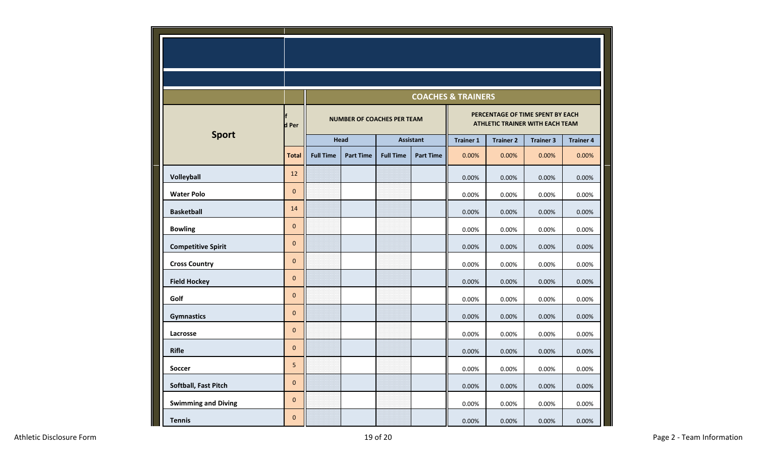|                            |              |                                   |                  |                  |                  | <b>COACHES &amp; TRAINERS</b>                                              |                  |                  |                  |
|----------------------------|--------------|-----------------------------------|------------------|------------------|------------------|----------------------------------------------------------------------------|------------------|------------------|------------------|
|                            | d Per        | <b>NUMBER OF COACHES PER TEAM</b> |                  |                  |                  | PERCENTAGE OF TIME SPENT BY EACH<br><b>ATHLETIC TRAINER WITH EACH TEAM</b> |                  |                  |                  |
| <b>Sport</b>               |              | Head                              |                  | <b>Assistant</b> |                  | <b>Trainer 1</b>                                                           | <b>Trainer 2</b> | <b>Trainer 3</b> | <b>Trainer 4</b> |
|                            | <b>Total</b> | <b>Full Time</b>                  | <b>Part Time</b> | <b>Full Time</b> | <b>Part Time</b> | 0.00%                                                                      | 0.00%            | 0.00%            | 0.00%            |
| Volleyball                 | 12           |                                   |                  |                  |                  | 0.00%                                                                      | 0.00%            | 0.00%            | 0.00%            |
| <b>Water Polo</b>          | $\mathbf 0$  |                                   |                  |                  |                  | 0.00%                                                                      | 0.00%            | 0.00%            | 0.00%            |
| <b>Basketball</b>          | 14           |                                   |                  |                  |                  | 0.00%                                                                      | 0.00%            | 0.00%            | 0.00%            |
| <b>Bowling</b>             | $\mathbf 0$  |                                   |                  |                  |                  | 0.00%                                                                      | 0.00%            | 0.00%            | 0.00%            |
| <b>Competitive Spirit</b>  | $\pmb{0}$    |                                   |                  |                  |                  | 0.00%                                                                      | 0.00%            | 0.00%            | 0.00%            |
| <b>Cross Country</b>       | $\mathbf{0}$ |                                   |                  |                  |                  | 0.00%                                                                      | 0.00%            | 0.00%            | 0.00%            |
| <b>Field Hockey</b>        | $\pmb{0}$    |                                   |                  |                  |                  | 0.00%                                                                      | 0.00%            | 0.00%            | 0.00%            |
| Golf                       | $\pmb{0}$    |                                   |                  |                  |                  | 0.00%                                                                      | 0.00%            | 0.00%            | 0.00%            |
| <b>Gymnastics</b>          | $\pmb{0}$    |                                   |                  |                  |                  | 0.00%                                                                      | 0.00%            | 0.00%            | 0.00%            |
| Lacrosse                   | $\pmb{0}$    |                                   |                  |                  |                  | 0.00%                                                                      | 0.00%            | 0.00%            | 0.00%            |
| <b>Rifle</b>               | $\pmb{0}$    |                                   |                  |                  |                  | 0.00%                                                                      | 0.00%            | 0.00%            | 0.00%            |
| <b>Soccer</b>              | 5            |                                   |                  |                  |                  | 0.00%                                                                      | 0.00%            | 0.00%            | 0.00%            |
| Softball, Fast Pitch       | $\pmb{0}$    |                                   |                  |                  |                  | 0.00%                                                                      | 0.00%            | 0.00%            | 0.00%            |
| <b>Swimming and Diving</b> | $\pmb{0}$    |                                   |                  |                  |                  | 0.00%                                                                      | 0.00%            | 0.00%            | 0.00%            |
| <b>Tennis</b>              | $\mathbf 0$  |                                   |                  |                  |                  | 0.00%                                                                      | 0.00%            | 0.00%            | 0.00%            |